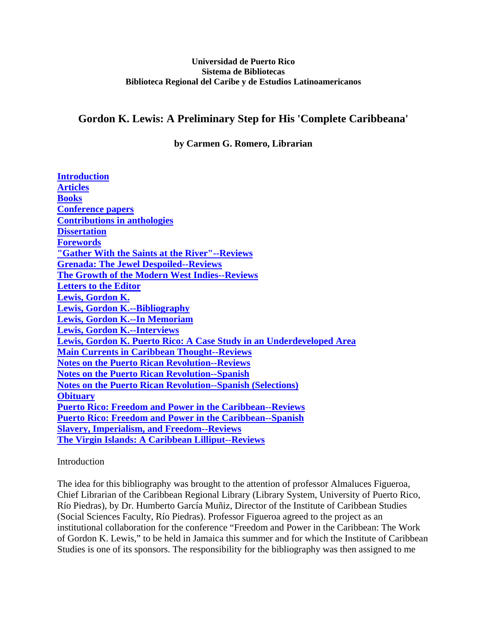#### **Universidad de Puerto Rico Sistema de Bibliotecas Biblioteca Regional del Caribe y de Estudios Latinoamericanos**

# <span id="page-0-0"></span>**Gordon K. Lewis: A Preliminary Step for His 'Complete Caribbeana'**

**by Carmen G. Romero, Librarian** 

| <b>Introduction</b>                                                  |
|----------------------------------------------------------------------|
| <b>Articles</b>                                                      |
| <b>Books</b>                                                         |
| <b>Conference papers</b>                                             |
| <b>Contributions in anthologies</b>                                  |
| <b>Dissertation</b>                                                  |
| <b>Forewords</b>                                                     |
| "Gather With the Saints at the River"--Reviews                       |
| <b>Grenada: The Jewel Despoiled--Reviews</b>                         |
| <b>The Growth of the Modern West Indies--Reviews</b>                 |
| <b>Letters to the Editor</b>                                         |
| Lewis, Gordon K.                                                     |
| <b>Lewis, Gordon K.--Bibliography</b>                                |
| <b>Lewis, Gordon K.--In Memoriam</b>                                 |
| <b>Lewis, Gordon K.--Interviews</b>                                  |
| Lewis, Gordon K. Puerto Rico: A Case Study in an Underdeveloped Area |
| <b>Main Currents in Caribbean Thought--Reviews</b>                   |
| <b>Notes on the Puerto Rican Revolution--Reviews</b>                 |
| <b>Notes on the Puerto Rican Revolution--Spanish</b>                 |
| <b>Notes on the Puerto Rican Revolution--Spanish (Selections)</b>    |
| <b>Obituary</b>                                                      |
| <b>Puerto Rico: Freedom and Power in the Caribbean--Reviews</b>      |
| <b>Puerto Rico: Freedom and Power in the Caribbean--Spanish</b>      |
| <b>Slavery, Imperialism, and Freedom--Reviews</b>                    |
| <b>The Virgin Islands: A Caribbean Lilliput--Reviews</b>             |

### Introduction

The idea for this bibliography was brought to the attention of professor Almaluces Figueroa, Chief Librarian of the Caribbean Regional Library (Library System, University of Puerto Rico, Río Piedras), by Dr. Humberto García Muñiz, Director of the Institute of Caribbean Studies (Social Sciences Faculty, Río Piedras). Professor Figueroa agreed to the project as an institutional collaboration for the conference "Freedom and Power in the Caribbean: The Work of Gordon K. Lewis," to be held in Jamaica this summer and for which the Institute of Caribbean Studies is one of its sponsors. The responsibility for the bibliography was then assigned to me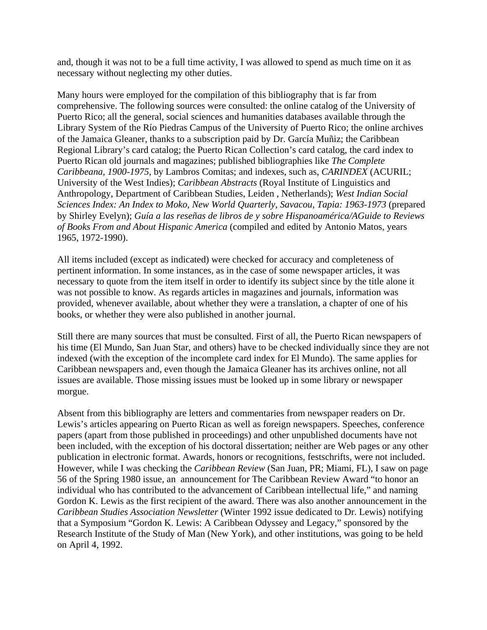and, though it was not to be a full time activity, I was allowed to spend as much time on it as necessary without neglecting my other duties.

Many hours were employed for the compilation of this bibliography that is far from comprehensive. The following sources were consulted: the online catalog of the University of Puerto Rico; all the general, social sciences and humanities databases available through the Library System of the Río Piedras Campus of the University of Puerto Rico; the online archives of the Jamaica Gleaner, thanks to a subscription paid by Dr. García Muñiz; the Caribbean Regional Library's card catalog; the Puerto Rican Collection's card catalog, the card index to Puerto Rican old journals and magazines; published bibliographies like *The Complete Caribbeana, 1900-1975*, by Lambros Comitas; and indexes, such as, *CARINDEX* (ACURIL; University of the West Indies); *Caribbean Abstracts* (Royal Institute of Linguistics and Anthropology, Department of Caribbean Studies, Leiden , Netherlands); *West Indian Social Sciences Index: An Index to Moko, New World Quarterly, Savacou, Tapia: 1963-1973* (prepared by Shirley Evelyn); *Guía a las reseñas de libros de y sobre Hispanoamérica/AGuide to Reviews of Books From and About Hispanic America* (compiled and edited by Antonio Matos, years 1965, 1972-1990).

All items included (except as indicated) were checked for accuracy and completeness of pertinent information. In some instances, as in the case of some newspaper articles, it was necessary to quote from the item itself in order to identify its subject since by the title alone it was not possible to know. As regards articles in magazines and journals, information was provided, whenever available, about whether they were a translation, a chapter of one of his books, or whether they were also published in another journal.

Still there are many sources that must be consulted. First of all, the Puerto Rican newspapers of his time (El Mundo, San Juan Star, and others) have to be checked individually since they are not indexed (with the exception of the incomplete card index for El Mundo). The same applies for Caribbean newspapers and, even though the Jamaica Gleaner has its archives online, not all issues are available. Those missing issues must be looked up in some library or newspaper morgue.

Absent from this bibliography are letters and commentaries from newspaper readers on Dr. Lewis's articles appearing on Puerto Rican as well as foreign newspapers. Speeches, conference papers (apart from those published in proceedings) and other unpublished documents have not been included, with the exception of his doctoral dissertation; neither are Web pages or any other publication in electronic format. Awards, honors or recognitions, festschrifts, were not included. However, while I was checking the *Caribbean Review* (San Juan, PR; Miami, FL), I saw on page 56 of the Spring 1980 issue, an announcement for The Caribbean Review Award "to honor an individual who has contributed to the advancement of Caribbean intellectual life," and naming Gordon K. Lewis as the first recipient of the award. There was also another announcement in the *Caribbean Studies Association Newsletter* (Winter 1992 issue dedicated to Dr. Lewis) notifying that a Symposium "Gordon K. Lewis: A Caribbean Odyssey and Legacy," sponsored by the Research Institute of the Study of Man (New York), and other institutions, was going to be held on April 4, 1992.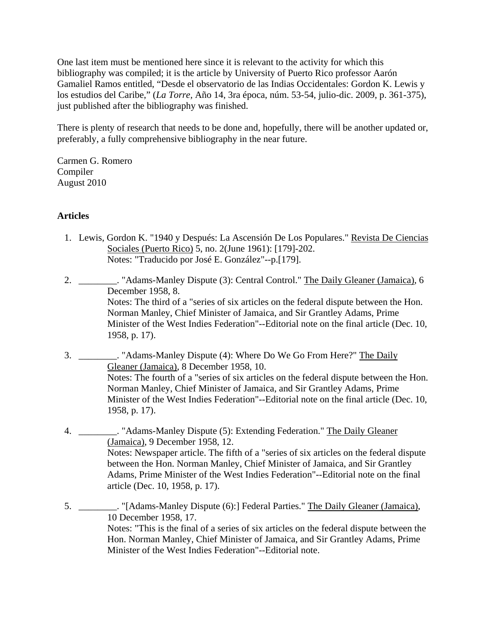<span id="page-2-0"></span>One last item must be mentioned here since it is relevant to the activity for which this bibliography was compiled; it is the article by University of Puerto Rico professor Aarón Gamaliel Ramos entitled, "Desde el observatorio de las Indias Occidentales: Gordon K. Lewis y los estudios del Caribe," (*La Torre,* Año 14, 3ra época, núm. 53-54, julio-dic. 2009, p. 361-375), just published after the bibliography was finished.

There is plenty of research that needs to be done and, hopefully, there will be another updated or, preferably, a fully comprehensive bibliography in the near future.

Carmen G. Romero Compiler August 2010

## **Articles**

- 1. Lewis, Gordon K. "1940 y Después: La Ascensión De Los Populares." Revista De Ciencias Sociales (Puerto Rico) 5, no. 2(June 1961): [179]-202. Notes: "Traducido por José E. González"--p.[179].
- 2. \_\_\_\_\_\_\_\_\_. "Adams-Manley Dispute (3): Central Control." The Daily Gleaner (Jamaica), 6 December 1958, 8. Notes: The third of a "series of six articles on the federal dispute between the Hon. Norman Manley, Chief Minister of Jamaica, and Sir Grantley Adams, Prime Minister of the West Indies Federation"--Editorial note on the final article (Dec. 10, 1958, p. 17).
- 3. \_\_\_\_\_\_\_\_. "Adams-Manley Dispute (4): Where Do We Go From Here?" The Daily Gleaner (Jamaica), 8 December 1958, 10. Notes: The fourth of a "series of six articles on the federal dispute between the Hon. Norman Manley, Chief Minister of Jamaica, and Sir Grantley Adams, Prime Minister of the West Indies Federation"--Editorial note on the final article (Dec. 10, 1958, p. 17).
- 4. \_\_\_\_\_\_\_\_\_. "Adams-Manley Dispute (5): Extending Federation." The Daily Gleaner (Jamaica), 9 December 1958, 12. Notes: Newspaper article. The fifth of a "series of six articles on the federal dispute between the Hon. Norman Manley, Chief Minister of Jamaica, and Sir Grantley Adams, Prime Minister of the West Indies Federation"--Editorial note on the final article (Dec. 10, 1958, p. 17).
- 5. \_\_\_\_\_\_\_\_. "[Adams-Manley Dispute (6):] Federal Parties." The Daily Gleaner (Jamaica), 10 December 1958, 17. Notes: "This is the final of a series of six articles on the federal dispute between the Hon. Norman Manley, Chief Minister of Jamaica, and Sir Grantley Adams, Prime Minister of the West Indies Federation"--Editorial note.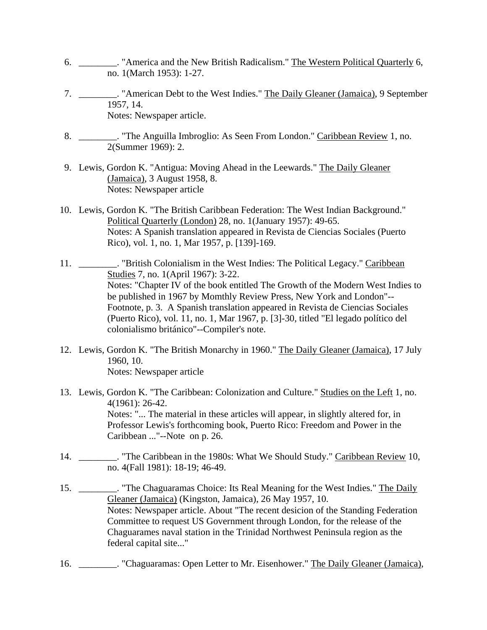- 6. \_\_\_\_\_\_\_\_. "America and the New British Radicalism." The Western Political Quarterly 6, no. 1(March 1953): 1-27.
- 7. \_\_\_\_\_\_\_\_\_. "American Debt to the West Indies." The Daily Gleaner (Jamaica), 9 September 1957, 14. Notes: Newspaper article.
- 8. \_\_\_\_\_\_\_\_. "The Anguilla Imbroglio: As Seen From London." Caribbean Review 1, no. 2(Summer 1969): 2.
- 9. Lewis, Gordon K. "Antigua: Moving Ahead in the Leewards." The Daily Gleaner (Jamaica), 3 August 1958, 8. Notes: Newspaper article
- 10. Lewis, Gordon K. "The British Caribbean Federation: The West Indian Background." Political Quarterly (London) 28, no. 1(January 1957): 49-65. Notes: A Spanish translation appeared in Revista de Ciencias Sociales (Puerto Rico), vol. 1, no. 1, Mar 1957, p. [139]-169.
- 11. \_\_\_\_\_\_\_\_. "British Colonialism in the West Indies: The Political Legacy." Caribbean Studies 7, no. 1(April 1967): 3-22. Notes: "Chapter IV of the book entitled The Growth of the Modern West Indies to be published in 1967 by Momthly Review Press, New York and London"-- Footnote, p. 3. A Spanish translation appeared in Revista de Ciencias Sociales (Puerto Rico), vol. 11, no. 1, Mar 1967, p. [3]-30, titled "El legado político del colonialismo británico"--Compiler's note.
- 12. Lewis, Gordon K. "The British Monarchy in 1960." The Daily Gleaner (Jamaica), 17 July 1960, 10. Notes: Newspaper article
- 13. Lewis, Gordon K. "The Caribbean: Colonization and Culture." Studies on the Left 1, no. 4(1961): 26-42. Notes: "... The material in these articles will appear, in slightly altered for, in Professor Lewis's forthcoming book, Puerto Rico: Freedom and Power in the Caribbean ..."--Note on p. 26.
- 14. \_\_\_\_\_\_\_\_. "The Caribbean in the 1980s: What We Should Study." Caribbean Review 10, no. 4(Fall 1981): 18-19; 46-49.
- 15. \_\_\_\_\_\_\_\_. "The Chaguaramas Choice: Its Real Meaning for the West Indies." The Daily Gleaner (Jamaica) (Kingston, Jamaica), 26 May 1957, 10. Notes: Newspaper article. About "The recent desicion of the Standing Federation Committee to request US Government through London, for the release of the Chaguarames naval station in the Trinidad Northwest Peninsula region as the federal capital site..."
- 16. \_\_\_\_\_\_\_\_\_. "Chaguaramas: Open Letter to Mr. Eisenhower." The Daily Gleaner (Jamaica),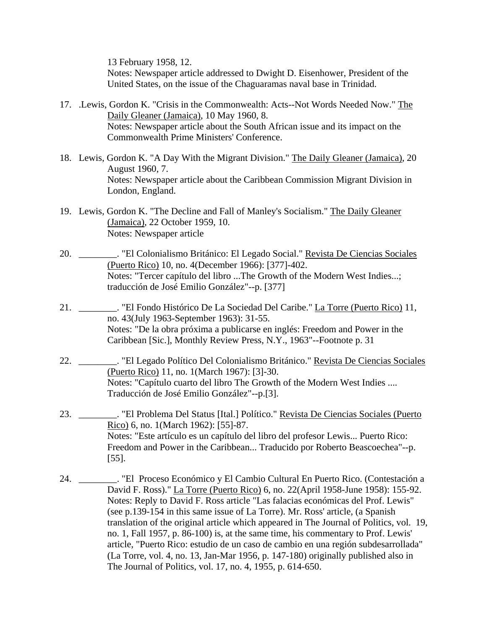13 February 1958, 12.

Notes: Newspaper article addressed to Dwight D. Eisenhower, President of the United States, on the issue of the Chaguaramas naval base in Trinidad.

- 17. .Lewis, Gordon K. "Crisis in the Commonwealth: Acts--Not Words Needed Now." The Daily Gleaner (Jamaica), 10 May 1960, 8. Notes: Newspaper article about the South African issue and its impact on the Commonwealth Prime Ministers' Conference.
- 18. Lewis, Gordon K. "A Day With the Migrant Division." The Daily Gleaner (Jamaica), 20 August 1960, 7. Notes: Newspaper article about the Caribbean Commission Migrant Division in London, England.
- 19. Lewis, Gordon K. "The Decline and Fall of Manley's Socialism." The Daily Gleaner (Jamaica), 22 October 1959, 10. Notes: Newspaper article
- 20. \_\_\_\_\_\_\_\_. "El Colonialismo Británico: El Legado Social." Revista De Ciencias Sociales (Puerto Rico) 10, no. 4(December 1966): [377]-402. Notes: "Tercer capítulo del libro ...The Growth of the Modern West Indies...; traducción de José Emilio González"--p. [377]
- 21. <sup>La Torre</sup> (Puerto Rico) 11, <sup>21</sup>. <sup>La Torre</sup> (Puerto Rico) 11, no. 43(July 1963-September 1963): 31-55. Notes: "De la obra próxima a publicarse en inglés: Freedom and Power in the Caribbean [Sic.], Monthly Review Press, N.Y., 1963"--Footnote p. 31
- 22. \_\_\_\_\_\_\_\_. "El Legado Político Del Colonialismo Británico." Revista De Ciencias Sociales (Puerto Rico) 11, no. 1(March 1967): [3]-30. Notes: "Capítulo cuarto del libro The Growth of the Modern West Indies .... Traducción de José Emilio González"--p.[3].
- 23. \_\_\_\_\_\_\_\_. "El Problema Del Status [Ital.] Político." Revista De Ciencias Sociales (Puerto Rico) 6, no. 1(March 1962): [55]-87. Notes: "Este artículo es un capítulo del libro del profesor Lewis... Puerto Rico: Freedom and Power in the Caribbean... Traducido por Roberto Beascoechea"--p. [55].
- 24. \_\_\_\_\_\_\_\_. "El Proceso Económico y El Cambio Cultural En Puerto Rico. (Contestación a David F. Ross)." La Torre (Puerto Rico) 6, no. 22(April 1958-June 1958): 155-92. Notes: Reply to David F. Ross article "Las falacias económicas del Prof. Lewis" (see p.139-154 in this same issue of La Torre). Mr. Ross' article, (a Spanish translation of the original article which appeared in The Journal of Politics, vol. 19, no. 1, Fall 1957, p. 86-100) is, at the same time, his commentary to Prof. Lewis' article, "Puerto Rico: estudio de un caso de cambio en una región subdesarrollada" (La Torre, vol. 4, no. 13, Jan-Mar 1956, p. 147-180) originally published also in The Journal of Politics, vol. 17, no. 4, 1955, p. 614-650.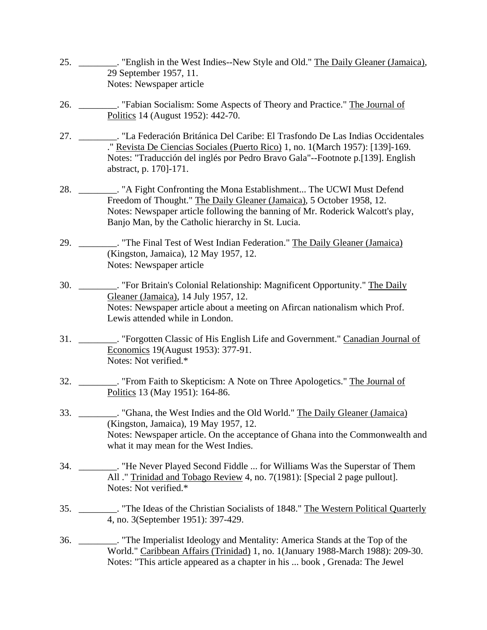- 25. \_\_\_\_\_\_\_\_. "English in the West Indies--New Style and Old." The Daily Gleaner (Jamaica), 29 September 1957, 11. Notes: Newspaper article
- 26. \_\_\_\_\_\_\_\_. "Fabian Socialism: Some Aspects of Theory and Practice." The Journal of Politics 14 (August 1952): 442-70.
- 27. \_\_\_\_\_\_\_\_. "La Federación Británica Del Caribe: El Trasfondo De Las Indias Occidentales ." Revista De Ciencias Sociales (Puerto Rico) 1, no. 1(March 1957): [139]-169. Notes: "Traducción del inglés por Pedro Bravo Gala"--Footnote p.[139]. English abstract, p. 170]-171.
- 28. \_\_\_\_\_\_\_\_. "A Fight Confronting the Mona Establishment... The UCWI Must Defend Freedom of Thought." The Daily Gleaner (Jamaica), 5 October 1958, 12. Notes: Newspaper article following the banning of Mr. Roderick Walcott's play, Banjo Man, by the Catholic hierarchy in St. Lucia.
- 29. \_\_\_\_\_\_\_\_. "The Final Test of West Indian Federation." The Daily Gleaner (Jamaica) (Kingston, Jamaica), 12 May 1957, 12. Notes: Newspaper article
- 30. \_\_\_\_\_\_\_\_. "For Britain's Colonial Relationship: Magnificent Opportunity." The Daily Gleaner (Jamaica), 14 July 1957, 12. Notes: Newspaper article about a meeting on Afircan nationalism which Prof. Lewis attended while in London.
- 31. \_\_\_\_\_\_\_\_. "Forgotten Classic of His English Life and Government." Canadian Journal of Economics 19(August 1953): 377-91. Notes: Not verified.\*
- 32. \_\_\_\_\_\_\_\_. "From Faith to Skepticism: A Note on Three Apologetics." The Journal of Politics 13 (May 1951): 164-86.
- 33. \_\_\_\_\_\_\_\_. "Ghana, the West Indies and the Old World." The Daily Gleaner (Jamaica) (Kingston, Jamaica), 19 May 1957, 12. Notes: Newspaper article. On the acceptance of Ghana into the Commonwealth and what it may mean for the West Indies.
- 34. \_\_\_\_\_\_\_\_. "He Never Played Second Fiddle ... for Williams Was the Superstar of Them All ." Trinidad and Tobago Review 4, no. 7(1981): [Special 2 page pullout]. Notes: Not verified.\*
- 35. \_\_\_\_\_\_\_\_. "The Ideas of the Christian Socialists of 1848." The Western Political Quarterly 4, no. 3(September 1951): 397-429.
- 36. \_\_\_\_\_\_\_\_. "The Imperialist Ideology and Mentality: America Stands at the Top of the World." Caribbean Affairs (Trinidad) 1, no. 1 (January 1988-March 1988): 209-30. Notes: "This article appeared as a chapter in his ... book , Grenada: The Jewel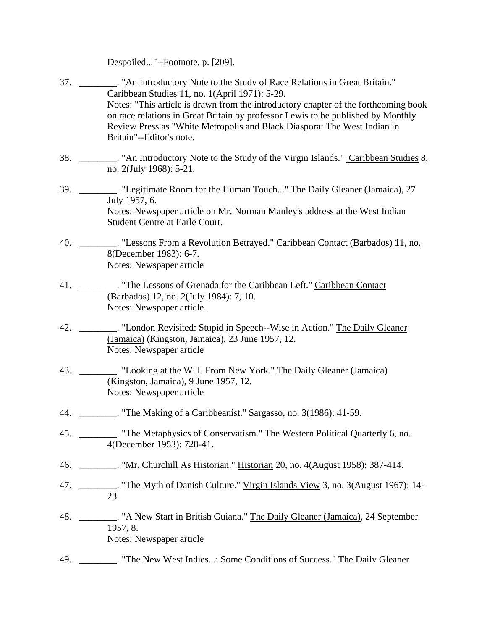Despoiled..."--Footnote, p. [209].

- 37. \_\_\_\_\_\_\_\_. "An Introductory Note to the Study of Race Relations in Great Britain." Caribbean Studies 11, no. 1(April 1971): 5-29. Notes: "This article is drawn from the introductory chapter of the forthcoming book on race relations in Great Britain by professor Lewis to be published by Monthly Review Press as "White Metropolis and Black Diaspora: The West Indian in Britain"--Editor's note.
- 38. \_\_\_\_\_\_\_\_. "An Introductory Note to the Study of the Virgin Islands." Caribbean Studies 8, no. 2(July 1968): 5-21.
- 39. \_\_\_\_\_\_\_\_. "Legitimate Room for the Human Touch..." The Daily Gleaner (Jamaica), 27 July 1957, 6. Notes: Newspaper article on Mr. Norman Manley's address at the West Indian Student Centre at Earle Court.
- 40. \_\_\_\_\_\_\_\_. "Lessons From a Revolution Betrayed." Caribbean Contact (Barbados) 11, no. 8(December 1983): 6-7. Notes: Newspaper article
- 41. \_\_\_\_\_\_\_\_. "The Lessons of Grenada for the Caribbean Left." Caribbean Contact (Barbados) 12, no. 2(July 1984): 7, 10. Notes: Newspaper article.
- 42. \_\_\_\_\_\_\_\_. "London Revisited: Stupid in Speech--Wise in Action." The Daily Gleaner (Jamaica) (Kingston, Jamaica), 23 June 1957, 12. Notes: Newspaper article
- 43. \_\_\_\_\_\_\_\_. "Looking at the W. I. From New York." The Daily Gleaner (Jamaica) (Kingston, Jamaica), 9 June 1957, 12. Notes: Newspaper article
- 44. **The Making of a Caribbeanist." Sargasso, no. 3(1986): 41-59.**
- 45. \_\_\_\_\_\_\_\_. "The Metaphysics of Conservatism." The Western Political Quarterly 6, no. 4(December 1953): 728-41.
- 46. \_\_\_\_\_\_\_\_. "Mr. Churchill As Historian." Historian 20, no. 4(August 1958): 387-414.
- 47. \_\_\_\_\_\_\_\_. "The Myth of Danish Culture." Virgin Islands View 3, no. 3(August 1967): 14-23.
- 48. \_\_\_\_\_\_\_\_\_. "A New Start in British Guiana." The Daily Gleaner (Jamaica), 24 September 1957, 8. Notes: Newspaper article
- 49. \_\_\_\_\_\_\_\_. "The New West Indies...: Some Conditions of Success." The Daily Gleaner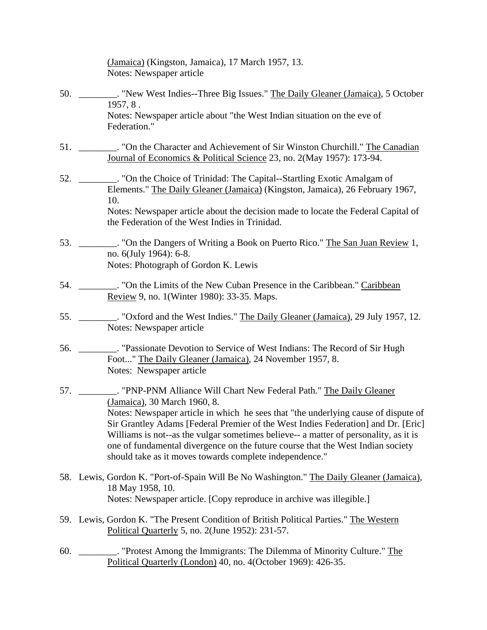|     | (Jamaica) (Kingston, Jamaica), 17 March 1957, 13.<br>Notes: Newspaper article                                                                                                                                                                                                                                                                                                                                                                                                                                                     |
|-----|-----------------------------------------------------------------------------------------------------------------------------------------------------------------------------------------------------------------------------------------------------------------------------------------------------------------------------------------------------------------------------------------------------------------------------------------------------------------------------------------------------------------------------------|
|     | 1957, 8.                                                                                                                                                                                                                                                                                                                                                                                                                                                                                                                          |
|     | Notes: Newspaper article about "the West Indian situation on the eve of<br>Federation."                                                                                                                                                                                                                                                                                                                                                                                                                                           |
|     | 51. _________. "On the Character and Achievement of Sir Winston Churchill." The Canadian<br>Journal of Economics & Political Science 23, no. 2(May 1957): 173-94.                                                                                                                                                                                                                                                                                                                                                                 |
| 52. | ___. "On the Choice of Trinidad: The Capital--Startling Exotic Amalgam of<br>Elements." The Daily Gleaner (Jamaica) (Kingston, Jamaica), 26 February 1967,                                                                                                                                                                                                                                                                                                                                                                        |
|     | 10.<br>Notes: Newspaper article about the decision made to locate the Federal Capital of<br>the Federation of the West Indies in Trinidad.                                                                                                                                                                                                                                                                                                                                                                                        |
|     | 53. ________. "On the Dangers of Writing a Book on Puerto Rico." The San Juan Review 1,<br>no. 6(July 1964): 6-8.<br>Notes: Photograph of Gordon K. Lewis                                                                                                                                                                                                                                                                                                                                                                         |
|     | 54.<br>Review 9, no. 1 (Winter 1980): 33-35. Maps.                                                                                                                                                                                                                                                                                                                                                                                                                                                                                |
|     | Notes: Newspaper article                                                                                                                                                                                                                                                                                                                                                                                                                                                                                                          |
|     | 56.<br>___. "Passionate Devotion to Service of West Indians: The Record of Sir Hugh<br>Foot" The Daily Gleaner (Jamaica), 24 November 1957, 8.<br>Notes: Newspaper article                                                                                                                                                                                                                                                                                                                                                        |
|     | 57. _________. "PNP-PNM Alliance Will Chart New Federal Path." The Daily Gleaner<br>(Jamaica), 30 March 1960, 8.<br>Notes: Newspaper article in which he sees that "the underlying cause of dispute of<br>Sir Grantley Adams [Federal Premier of the West Indies Federation] and Dr. [Eric]<br>Williams is not--as the vulgar sometimes believe-- a matter of personality, as it is<br>one of fundamental divergence on the future course that the West Indian society<br>should take as it moves towards complete independence." |
|     | 58. Lewis, Gordon K. "Port-of-Spain Will Be No Washington." The Daily Gleaner (Jamaica),<br>18 May 1958, 10.<br>Notes: Newspaper article. [Copy reproduce in archive was illegible.]                                                                                                                                                                                                                                                                                                                                              |
|     | 59. Lewis, Gordon K. "The Present Condition of British Political Parties." The Western<br>Political Quarterly 5, no. 2(June 1952): 231-57.                                                                                                                                                                                                                                                                                                                                                                                        |
| 60. | Political Quarterly (London) 40, no. 4(October 1969): 426-35.                                                                                                                                                                                                                                                                                                                                                                                                                                                                     |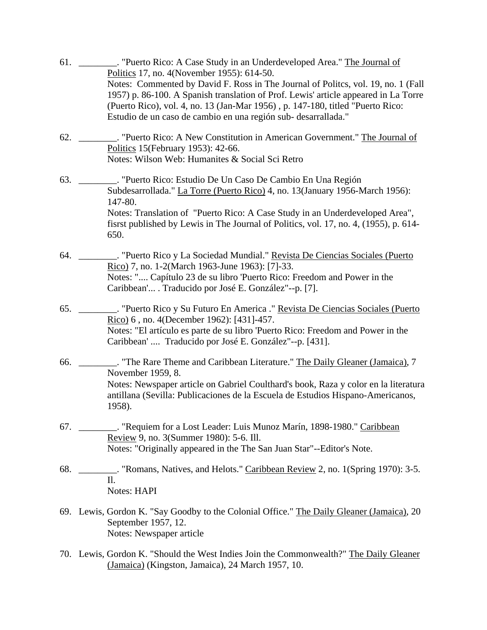61. \_\_\_\_\_\_\_\_. "Puerto Rico: A Case Study in an Underdeveloped Area." The Journal of Politics 17, no. 4(November 1955): 614-50. Notes: Commented by David F. Ross in The Journal of Politcs, vol. 19, no. 1 (Fall 1957) p. 86-100. A Spanish translation of Prof. Lewis' article appeared in La Torre (Puerto Rico), vol. 4, no. 13 (Jan-Mar 1956) , p. 147-180, titled "Puerto Rico: Estudio de un caso de cambio en una región sub- desarrallada." 62. \_\_\_\_\_\_\_\_. "Puerto Rico: A New Constitution in American Government." The Journal of Politics 15(February 1953): 42-66. Notes: Wilson Web: Humanites & Social Sci Retro 63. \_\_\_\_\_\_\_\_. "Puerto Rico: Estudio De Un Caso De Cambio En Una Región Subdesarrollada." La Torre (Puerto Rico) 4, no. 13(January 1956-March 1956): 147-80. Notes: Translation of "Puerto Rico: A Case Study in an Underdeveloped Area", fisrst published by Lewis in The Journal of Politics, vol. 17, no. 4, (1955), p. 614- 650. 64. \_\_\_\_\_\_\_\_. "Puerto Rico y La Sociedad Mundial." Revista De Ciencias Sociales (Puerto Rico) 7, no. 1-2(March 1963-June 1963): [7]-33. Notes: ".... Capítulo 23 de su libro 'Puerto Rico: Freedom and Power in the Caribbean'... . Traducido por José E. González"--p. [7]. 65. \_\_\_\_\_\_\_\_. "Puerto Rico y Su Futuro En America ." Revista De Ciencias Sociales (Puerto Rico) 6 , no. 4(December 1962): [431]-457. Notes: "El artículo es parte de su libro 'Puerto Rico: Freedom and Power in the Caribbean' .... Traducido por José E. González"--p. [431]. 66. \_\_\_\_\_\_\_\_. "The Rare Theme and Caribbean Literature." The Daily Gleaner (Jamaica), 7 November 1959, 8. Notes: Newspaper article on Gabriel Coulthard's book, Raza y color en la literatura antillana (Sevilla: Publicaciones de la Escuela de Estudios Hispano-Americanos, 1958). 67. \_\_\_\_\_\_\_\_. "Requiem for a Lost Leader: Luis Munoz Marín, 1898-1980." Caribbean Review 9, no. 3(Summer 1980): 5-6. Ill. Notes: "Originally appeared in the The San Juan Star"--Editor's Note. 68. \_\_\_\_\_\_\_\_. "Romans, Natives, and Helots." Caribbean Review 2, no. 1(Spring 1970): 3-5.  $II$ Notes: HAPI 69. Lewis, Gordon K. "Say Goodby to the Colonial Office." The Daily Gleaner (Jamaica), 20 September 1957, 12. Notes: Newspaper article 70. Lewis, Gordon K. "Should the West Indies Join the Commonwealth?" The Daily Gleaner

(Jamaica) (Kingston, Jamaica), 24 March 1957, 10.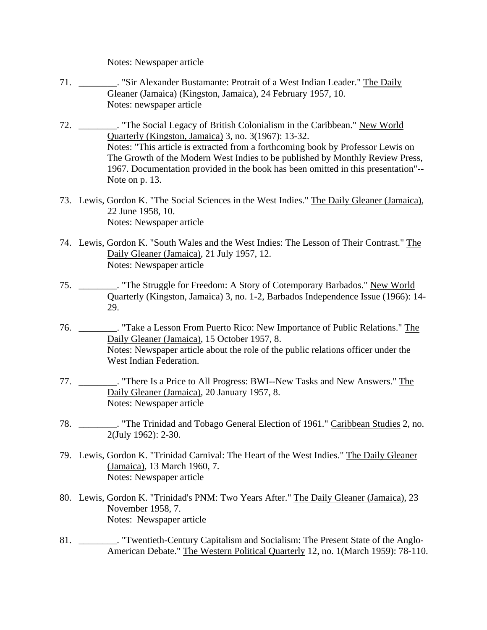Notes: Newspaper article

- 71. \_\_\_\_\_\_\_\_\_. "Sir Alexander Bustamante: Protrait of a West Indian Leader." The Daily Gleaner (Jamaica) (Kingston, Jamaica), 24 February 1957, 10. Notes: newspaper article
- 72. \_\_\_\_\_\_\_\_. "The Social Legacy of British Colonialism in the Caribbean." New World Quarterly (Kingston, Jamaica) 3, no. 3(1967): 13-32. Notes: "This article is extracted from a forthcoming book by Professor Lewis on The Growth of the Modern West Indies to be published by Monthly Review Press, 1967. Documentation provided in the book has been omitted in this presentation"-- Note on p. 13.
- 73. Lewis, Gordon K. "The Social Sciences in the West Indies." The Daily Gleaner (Jamaica), 22 June 1958, 10. Notes: Newspaper article
- 74. Lewis, Gordon K. "South Wales and the West Indies: The Lesson of Their Contrast." The Daily Gleaner (Jamaica), 21 July 1957, 12. Notes: Newspaper article
- 75. \_\_\_\_\_\_\_\_. "The Struggle for Freedom: A Story of Cotemporary Barbados." New World Quarterly (Kingston, Jamaica) 3, no. 1-2, Barbados Independence Issue (1966): 14- 29.
- 76. \_\_\_\_\_\_\_\_. "Take a Lesson From Puerto Rico: New Importance of Public Relations." The Daily Gleaner (Jamaica), 15 October 1957, 8. Notes: Newspaper article about the role of the public relations officer under the West Indian Federation.
- 77. \_\_\_\_\_\_\_\_. "There Is a Price to All Progress: BWI--New Tasks and New Answers." The Daily Gleaner (Jamaica), 20 January 1957, 8. Notes: Newspaper article
- 78. \_\_\_\_\_\_\_\_. "The Trinidad and Tobago General Election of 1961." Caribbean Studies 2, no. 2(July 1962): 2-30.
- 79. Lewis, Gordon K. "Trinidad Carnival: The Heart of the West Indies." The Daily Gleaner (Jamaica), 13 March 1960, 7. Notes: Newspaper article
- 80. Lewis, Gordon K. "Trinidad's PNM: Two Years After." The Daily Gleaner (Jamaica), 23 November 1958, 7. Notes: Newspaper article
- 81. \_\_\_\_\_\_\_\_. "Twentieth-Century Capitalism and Socialism: The Present State of the Anglo-American Debate." The Western Political Quarterly 12, no. 1(March 1959): 78-110.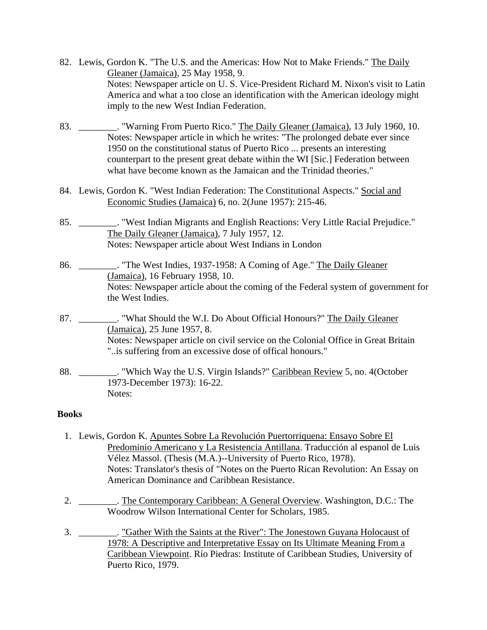- <span id="page-10-0"></span> 82. Lewis, Gordon K. "The U.S. and the Americas: How Not to Make Friends." The Daily Gleaner (Jamaica), 25 May 1958, 9. Notes: Newspaper article on U. S. Vice-President Richard M. Nixon's visit to Latin America and what a too close an identification with the American ideology might imply to the new West Indian Federation.
- 83. \_\_\_\_\_\_\_\_. "Warning From Puerto Rico." The Daily Gleaner (Jamaica), 13 July 1960, 10. Notes: Newspaper article in which he writes: "The prolonged debate ever since 1950 on the constitutional status of Puerto Rico ... presents an interesting counterpart to the present great debate within the WI [Sic.] Federation between what have become known as the Jamaican and the Trinidad theories."
- 84. Lewis, Gordon K. "West Indian Federation: The Constitutional Aspects." Social and Economic Studies (Jamaica) 6, no. 2(June 1957): 215-46.
- 85. \_\_\_\_\_\_\_\_. "West Indian Migrants and English Reactions: Very Little Racial Prejudice." The Daily Gleaner (Jamaica), 7 July 1957, 12. Notes: Newspaper article about West Indians in London
- 86. \_\_\_\_\_\_\_\_. "The West Indies, 1937-1958: A Coming of Age." The Daily Gleaner (Jamaica), 16 February 1958, 10. Notes: Newspaper article about the coming of the Federal system of government for the West Indies.
- 87. \_\_\_\_\_\_\_\_. "What Should the W.I. Do About Official Honours?" The Daily Gleaner (Jamaica), 25 June 1957, 8. Notes: Newspaper article on civil service on the Colonial Office in Great Britain "..is suffering from an excessive dose of offical honours."
- 88. \_\_\_\_\_\_\_\_. "Which Way the U.S. Virgin Islands?" Caribbean Review 5, no. 4(October 1973-December 1973): 16-22. Notes:

### **Books**

- 1. Lewis, Gordon K. Apuntes Sobre La Revolución Puertorriquena: Ensayo Sobre El Predominio Americano y La Resistencia Antillana. Traducción al espanol de Luis Vélez Massol. (Thesis (M.A.)--University of Puerto Rico, 1978). Notes: Translator's thesis of "Notes on the Puerto Rican Revolution: An Essay on American Dominance and Caribbean Resistance.
- 2. \_\_\_\_\_\_\_\_. The Contemporary Caribbean: A General Overview. Washington, D.C.: The Woodrow Wilson International Center for Scholars, 1985.
- 3. \_\_\_\_\_\_\_\_. "Gather With the Saints at the River": The Jonestown Guyana Holocaust of 1978: A Descriptive and Interpretative Essay on Its Ultimate Meaning From a Caribbean Viewpoint. Río Piedras: Institute of Caribbean Studies, University of Puerto Rico, 1979.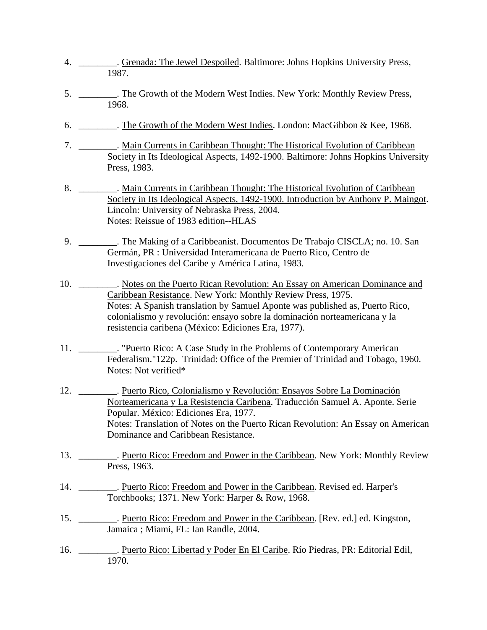- 4. \_\_\_\_\_\_\_\_. Grenada: The Jewel Despoiled. Baltimore: Johns Hopkins University Press, 1987.
- 5. \_\_\_\_\_\_\_\_. The Growth of the Modern West Indies. New York: Monthly Review Press, 1968.
	- 6. \_\_\_\_\_\_\_\_. The Growth of the Modern West Indies. London: MacGibbon & Kee, 1968.
- 7. \_\_\_\_\_\_\_\_\_. Main Currents in Caribbean Thought: The Historical Evolution of Caribbean Society in Its Ideological Aspects, 1492-1900. Baltimore: Johns Hopkins University Press, 1983.
	- 8. \_\_\_\_\_\_\_\_\_. Main Currents in Caribbean Thought: The Historical Evolution of Caribbean Society in Its Ideological Aspects, 1492-1900. Introduction by Anthony P. Maingot. Lincoln: University of Nebraska Press, 2004. Notes: Reissue of 1983 edition--HLAS
	- 9. \_\_\_\_\_\_\_\_. The Making of a Caribbeanist. Documentos De Trabajo CISCLA; no. 10. San Germán, PR : Universidad Interamericana de Puerto Rico, Centro de Investigaciones del Caribe y América Latina, 1983.
- 10. \_\_\_\_\_\_\_\_\_. Notes on the Puerto Rican Revolution: An Essay on American Dominance and Caribbean Resistance. New York: Monthly Review Press, 1975. Notes: A Spanish translation by Samuel Aponte was published as, Puerto Rico, colonialismo y revolución: ensayo sobre la dominación norteamericana y la resistencia caribena (México: Ediciones Era, 1977).
- 11. \_\_\_\_\_\_\_\_. "Puerto Rico: A Case Study in the Problems of Contemporary American Federalism."122p. Trinidad: Office of the Premier of Trinidad and Tobago, 1960. Notes: Not verified\*
- 12. \_\_\_\_\_\_\_\_. Puerto Rico, Colonialismo y Revolución: Ensayos Sobre La Dominación Norteamericana y La Resistencia Caribena. Traducción Samuel A. Aponte. Serie Popular. México: Ediciones Era, 1977. Notes: Translation of Notes on the Puerto Rican Revolution: An Essay on American Dominance and Caribbean Resistance.
- 13. \_\_\_\_\_\_\_\_. Puerto Rico: Freedom and Power in the Caribbean. New York: Monthly Review Press, 1963.
- 14. \_\_\_\_\_\_\_\_. Puerto Rico: Freedom and Power in the Caribbean. Revised ed. Harper's Torchbooks; 1371. New York: Harper & Row, 1968.
- 15. \_\_\_\_\_\_\_\_\_. Puerto Rico: Freedom and Power in the Caribbean. [Rev. ed.] ed. Kingston, Jamaica ; Miami, FL: Ian Randle, 2004.
- 16. \_\_\_\_\_\_\_\_. Puerto Rico: Libertad y Poder En El Caribe. Río Piedras, PR: Editorial Edil, 1970.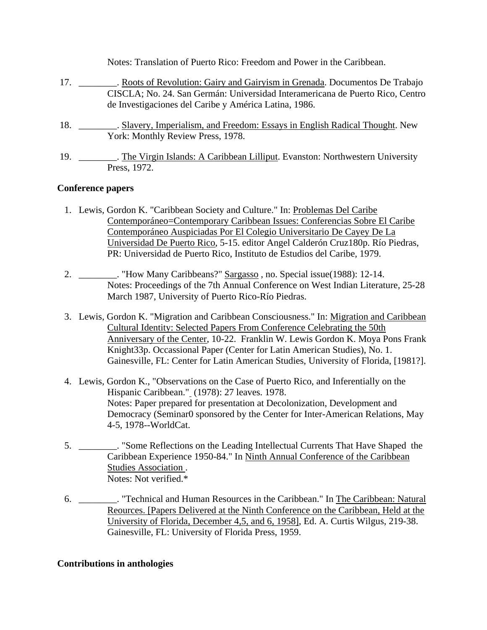<span id="page-12-0"></span>

|     | Notes: Translation of Puerto Rico: Freedom and Power in the Caribbean.                                                                                                                                              |
|-----|---------------------------------------------------------------------------------------------------------------------------------------------------------------------------------------------------------------------|
| 17. | Roots of Revolution: Gairy and Gairyism in Grenada. Documentos De Trabajo<br>CISCLA; No. 24. San Germán: Universidad Interamericana de Puerto Rico, Centro<br>de Investigaciones del Caribe y América Latina, 1986. |
| 18. | . Slavery, Imperialism, and Freedom: Essays in English Radical Thought. New<br>York: Monthly Review Press, 1978.                                                                                                    |
| 19. | . The Virgin Islands: A Caribbean Lilliput. Evanston: Northwestern University<br>Press, 1972.                                                                                                                       |

### **Conference papers**

- 1. Lewis, Gordon K. "Caribbean Society and Culture." In: Problemas Del Caribe Contemporáneo=Contemporary Caribbean Issues: Conferencias Sobre El Caribe Contemporáneo Auspiciadas Por El Colegio Universitario De Cayey De La Universidad De Puerto Rico, 5-15. editor Angel Calderón Cruz180p. Río Piedras, PR: Universidad de Puerto Rico, Instituto de Estudios del Caribe, 1979.
- 2. \_\_\_\_\_\_\_\_. "How Many Caribbeans?" Sargasso, no. Special issue(1988): 12-14. Notes: Proceedings of the 7th Annual Conference on West Indian Literature, 25-28 March 1987, University of Puerto Rico-Río Piedras.
- 3. Lewis, Gordon K. "Migration and Caribbean Consciousness." In: Migration and Caribbean Cultural Identity: Selected Papers From Conference Celebrating the 50th Anniversary of the Center, 10-22. Franklin W. Lewis Gordon K. Moya Pons Frank Knight33p. Occassional Paper (Center for Latin American Studies), No. 1. Gainesville, FL: Center for Latin American Studies, University of Florida, [1981?].
- 4. Lewis, Gordon K., "Observations on the Case of Puerto Rico, and Inferentially on the Hispanic Caribbean." (1978): 27 leaves. 1978. Notes: Paper prepared for presentation at Decolonization, Development and Democracy (Seminar0 sponsored by the Center for Inter-American Relations, May 4-5, 1978--WorldCat.
- 5. \_\_\_\_\_\_\_\_. "Some Reflections on the Leading Intellectual Currents That Have Shaped the Caribbean Experience 1950-84." In Ninth Annual Conference of the Caribbean Studies Association . Notes: Not verified.\*
- 6. \_\_\_\_\_\_\_\_. "Technical and Human Resources in the Caribbean." In The Caribbean: Natural Reources. [Papers Delivered at the Ninth Conference on the Caribbean, Held at the University of Florida, December 4,5, and 6, 1958], Ed. A. Curtis Wilgus, 219-38. Gainesville, FL: University of Florida Press, 1959.

### **Contributions in anthologies**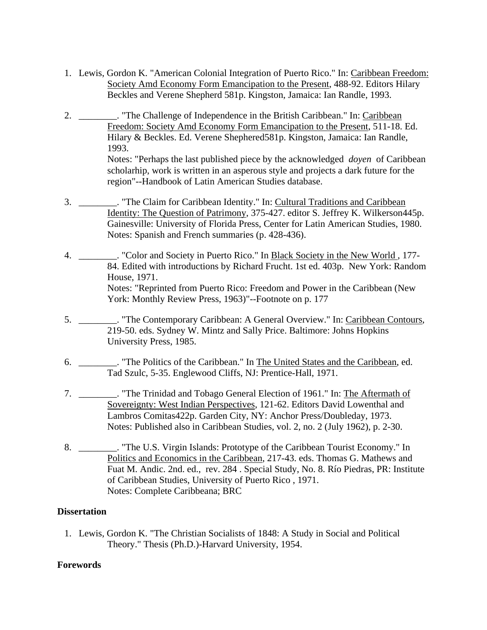- <span id="page-13-0"></span> 1. Lewis, Gordon K. "American Colonial Integration of Puerto Rico." In: Caribbean Freedom: Society Amd Economy Form Emancipation to the Present, 488-92. Editors Hilary Beckles and Verene Shepherd 581p. Kingston, Jamaica: Ian Randle, 1993.
- 2. \_\_\_\_\_\_\_\_. "The Challenge of Independence in the British Caribbean." In: Caribbean Freedom: Society Amd Economy Form Emancipation to the Present, 511-18. Ed. Hilary & Beckles. Ed. Verene Shephered581p. Kingston, Jamaica: Ian Randle, 1993.

Notes: "Perhaps the last published piece by the acknowledged *doyen* of Caribbean scholarhip, work is written in an asperous style and projects a dark future for the region"--Handbook of Latin American Studies database.

- 3. \_\_\_\_\_\_\_\_. "The Claim for Caribbean Identity." In: Cultural Traditions and Caribbean Identity: The Question of Patrimony, 375-427. editor S. Jeffrey K. Wilkerson445p. Gainesville: University of Florida Press, Center for Latin American Studies, 1980. Notes: Spanish and French summaries (p. 428-436).
- 4. \_\_\_\_\_\_\_\_. "Color and Society in Puerto Rico." In Black Society in the New World , 177- 84. Edited with introductions by Richard Frucht. 1st ed. 403p. New York: Random House, 1971. Notes: "Reprinted from Puerto Rico: Freedom and Power in the Caribbean (New York: Monthly Review Press, 1963)"--Footnote on p. 177
- 5. \_\_\_\_\_\_\_\_. "The Contemporary Caribbean: A General Overview." In: Caribbean Contours, 219-50. eds. Sydney W. Mintz and Sally Price. Baltimore: Johns Hopkins University Press, 1985.
- 6. \_\_\_\_\_\_\_\_. "The Politics of the Caribbean." In The United States and the Caribbean, ed. Tad Szulc, 5-35. Englewood Cliffs, NJ: Prentice-Hall, 1971.
- 7. \_\_\_\_\_\_\_\_. "The Trinidad and Tobago General Election of 1961." In: The Aftermath of Sovereignty: West Indian Perspectives, 121-62. Editors David Lowenthal and Lambros Comitas422p. Garden City, NY: Anchor Press/Doubleday, 1973. Notes: Published also in Caribbean Studies, vol. 2, no. 2 (July 1962), p. 2-30.
- 8. \_\_\_\_\_\_\_\_. "The U.S. Virgin Islands: Prototype of the Caribbean Tourist Economy." In Politics and Economics in the Caribbean, 217-43. eds. Thomas G. Mathews and Fuat M. Andic. 2nd. ed., rev. 284 . Special Study, No. 8. Río Piedras, PR: Institute of Caribbean Studies, University of Puerto Rico , 1971. Notes: Complete Caribbeana; BRC

## **Dissertation**

 1. Lewis, Gordon K. "The Christian Socialists of 1848: A Study in Social and Political Theory." Thesis (Ph.D.)-Harvard University, 1954.

## **Forewords**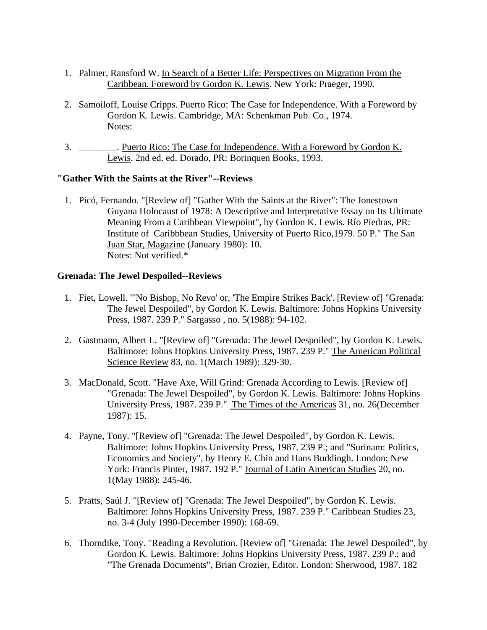- <span id="page-14-0"></span> 1. Palmer, Ransford W. In Search of a Better Life: Perspectives on Migration From the Caribbean. Foreword by Gordon K. Lewis. New York: Praeger, 1990.
- 2. Samoiloff, Louise Cripps. Puerto Rico: The Case for Independence. With a Foreword by Gordon K. Lewis. Cambridge, MA: Schenkman Pub. Co., 1974. Notes:
- 3. \_\_\_\_\_\_\_\_. Puerto Rico: The Case for Independence. With a Foreword by Gordon K. Lewis. 2nd ed. ed. Dorado, PR: Borinquen Books, 1993.

### **"Gather With the Saints at the River"--Reviews**

 1. Picó, Fernando. "[Review of] "Gather With the Saints at the River": The Jonestown Guyana Holocaust of 1978: A Descriptive and Interpretative Essay on Its Ultimate Meaning From a Caribbean Viewpoint", by Gordon K. Lewis. Río Piedras, PR: Institute of Caribbbean Studies, University of Puerto Rico,1979. 50 P." The San Juan Star, Magazine (January 1980): 10. Notes: Not verified.\*

#### **Grenada: The Jewel Despoiled--Reviews**

- 1. Fiet, Lowell. "'No Bishop, No Revo' or, 'The Empire Strikes Back'. [Review of] "Grenada: The Jewel Despoiled", by Gordon K. Lewis. Baltimore: Johns Hopkins University Press, 1987. 239 P." Sargasso , no. 5(1988): 94-102.
- 2. Gastmann, Albert L. "[Review of] "Grenada: The Jewel Despoiled", by Gordon K. Lewis. Baltimore: Johns Hopkins University Press, 1987. 239 P." The American Political Science Review 83, no. 1(March 1989): 329-30.
- 3. MacDonald, Scott. "Have Axe, Will Grind: Grenada According to Lewis. [Review of] "Grenada: The Jewel Despoiled", by Gordon K. Lewis. Baltimore: Johns Hopkins University Press, 1987. 239 P." The Times of the Americas 31, no. 26(December 1987): 15.
- 4. Payne, Tony. "[Review of] "Grenada: The Jewel Despoiled", by Gordon K. Lewis. Baltimore: Johns Hopkins University Press, 1987. 239 P.; and "Surinam: Politics, Economics and Society", by Henry E. Chin and Hans Buddingh. London; New York: Francis Pinter, 1987. 192 P." Journal of Latin American Studies 20, no. 1(May 1988): 245-46.
- 5. Pratts, Saúl J. "[Review of] "Grenada: The Jewel Despoiled", by Gordon K. Lewis. Baltimore: Johns Hopkins University Press, 1987. 239 P." Caribbean Studies 23, no. 3-4 (July 1990-December 1990): 168-69.
- 6. Thorndike, Tony. "Reading a Revolution. [Review of] "Grenada: The Jewel Despoiled", by Gordon K. Lewis. Baltimore: Johns Hopkins University Press, 1987. 239 P.; and "The Grenada Documents", Brian Crozier, Editor. London: Sherwood, 1987. 182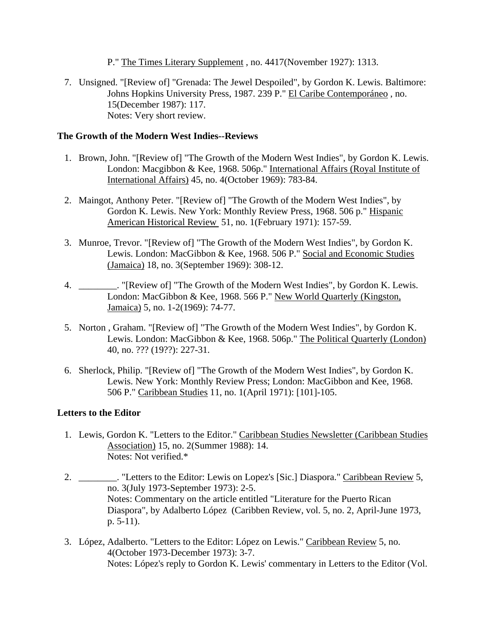P." The Times Literary Supplement , no. 4417(November 1927): 1313.

<span id="page-15-0"></span> 7. Unsigned. "[Review of] "Grenada: The Jewel Despoiled", by Gordon K. Lewis. Baltimore: Johns Hopkins University Press, 1987. 239 P." El Caribe Contemporáneo , no. 15(December 1987): 117. Notes: Very short review.

### **The Growth of the Modern West Indies--Reviews**

- 1. Brown, John. "[Review of] "The Growth of the Modern West Indies", by Gordon K. Lewis. London: Macgibbon & Kee, 1968. 506p." International Affairs (Royal Institute of International Affairs) 45, no. 4(October 1969): 783-84.
- 2. Maingot, Anthony Peter. "[Review of] "The Growth of the Modern West Indies", by Gordon K. Lewis. New York: Monthly Review Press, 1968. 506 p." Hispanic American Historical Review 51, no. 1(February 1971): 157-59.
- 3. Munroe, Trevor. "[Review of] "The Growth of the Modern West Indies", by Gordon K. Lewis. London: MacGibbon & Kee, 1968. 506 P." Social and Economic Studies (Jamaica) 18, no. 3(September 1969): 308-12.
- 4. \_\_\_\_\_\_\_\_. "[Review of] "The Growth of the Modern West Indies", by Gordon K. Lewis. London: MacGibbon & Kee, 1968. 566 P." New World Quarterly (Kingston, Jamaica) 5, no. 1-2(1969): 74-77.
- 5. Norton , Graham. "[Review of] "The Growth of the Modern West Indies", by Gordon K. Lewis. London: MacGibbon & Kee, 1968. 506p." The Political Quarterly (London) 40, no. ??? (19??): 227-31.
- 6. Sherlock, Philip. "[Review of] "The Growth of the Modern West Indies", by Gordon K. Lewis. New York: Monthly Review Press; London: MacGibbon and Kee, 1968. 506 P." Caribbean Studies 11, no. 1(April 1971): [101]-105.

## **Letters to the Editor**

- 1. Lewis, Gordon K. "Letters to the Editor." Caribbean Studies Newsletter (Caribbean Studies Association) 15, no. 2(Summer 1988): 14. Notes: Not verified.\*
- 2. \_\_\_\_\_\_\_\_. "Letters to the Editor: Lewis on Lopez's [Sic.] Diaspora." Caribbean Review 5, no. 3(July 1973-September 1973): 2-5. Notes: Commentary on the article entitled "Literature for the Puerto Rican Diaspora", by Adalberto López (Caribben Review, vol. 5, no. 2, April-June 1973, p. 5-11).
- 3. López, Adalberto. "Letters to the Editor: López on Lewis." Caribbean Review 5, no. 4(October 1973-December 1973): 3-7. Notes: López's reply to Gordon K. Lewis' commentary in Letters to the Editor (Vol.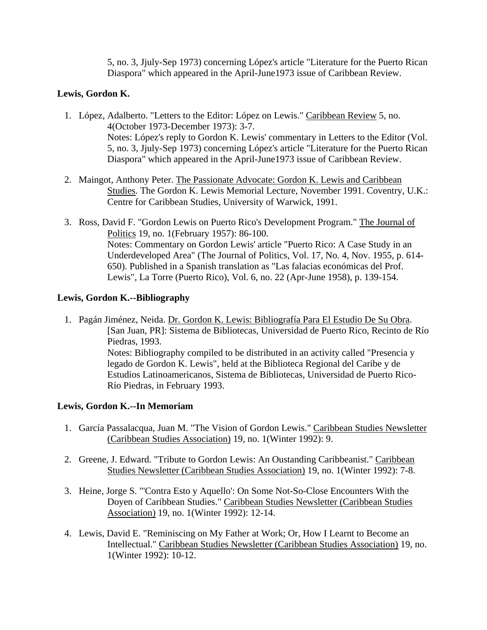5, no. 3, Jjuly-Sep 1973) concerning López's article "Literature for the Puerto Rican Diaspora" which appeared in the April-June1973 issue of Caribbean Review.

## <span id="page-16-0"></span>**Lewis, Gordon K.**

- 1. López, Adalberto. "Letters to the Editor: López on Lewis." Caribbean Review 5, no. 4(October 1973-December 1973): 3-7. Notes: López's reply to Gordon K. Lewis' commentary in Letters to the Editor (Vol. 5, no. 3, Jjuly-Sep 1973) concerning López's article "Literature for the Puerto Rican Diaspora" which appeared in the April-June1973 issue of Caribbean Review.
- 2. Maingot, Anthony Peter. The Passionate Advocate: Gordon K. Lewis and Caribbean Studies. The Gordon K. Lewis Memorial Lecture, November 1991. Coventry, U.K.: Centre for Caribbean Studies, University of Warwick, 1991.
- 3. Ross, David F. "Gordon Lewis on Puerto Rico's Development Program." The Journal of Politics 19, no. 1(February 1957): 86-100. Notes: Commentary on Gordon Lewis' article "Puerto Rico: A Case Study in an Underdeveloped Area" (The Journal of Politics, Vol. 17, No. 4, Nov. 1955, p. 614- 650). Published in a Spanish translation as "Las falacias económicas del Prof. Lewis", La Torre (Puerto Rico), Vol. 6, no. 22 (Apr-June 1958), p. 139-154.

## **Lewis, Gordon K.--Bibliography**

 1. Pagán Jiménez, Neida. Dr. Gordon K. Lewis: Bibliografía Para El Estudio De Su Obra. [San Juan, PR]: Sistema de Bibliotecas, Universidad de Puerto Rico, Recinto de Río Piedras, 1993. Notes: Bibliography compiled to be distributed in an activity called "Presencia y legado de Gordon K. Lewis", held at the Biblioteca Regional del Caribe y de Estudios Latinoamericanos, Sistema de Bibliotecas, Universidad de Puerto Rico-Río Piedras, in February 1993.

# **Lewis, Gordon K.--In Memoriam**

- 1. García Passalacqua, Juan M. "The Vision of Gordon Lewis." Caribbean Studies Newsletter (Caribbean Studies Association) 19, no. 1(Winter 1992): 9.
- 2. Greene, J. Edward. "Tribute to Gordon Lewis: An Oustanding Caribbeanist." Caribbean Studies Newsletter (Caribbean Studies Association) 19, no. 1(Winter 1992): 7-8.
- 3. Heine, Jorge S. "'Contra Esto y Aquello': On Some Not-So-Close Encounters With the Doyen of Caribbean Studies." Caribbean Studies Newsletter (Caribbean Studies Association) 19, no. 1(Winter 1992): 12-14.
- 4. Lewis, David E. "Reminiscing on My Father at Work; Or, How I Learnt to Become an Intellectual." Caribbean Studies Newsletter (Caribbean Studies Association) 19, no. 1(Winter 1992): 10-12.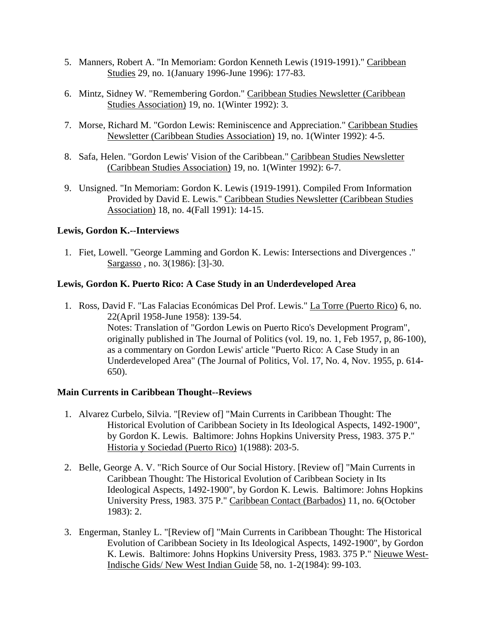- <span id="page-17-0"></span> 5. Manners, Robert A. "In Memoriam: Gordon Kenneth Lewis (1919-1991)." Caribbean Studies 29, no. 1(January 1996-June 1996): 177-83.
- 6. Mintz, Sidney W. "Remembering Gordon." Caribbean Studies Newsletter (Caribbean Studies Association) 19, no. 1(Winter 1992): 3.
- 7. Morse, Richard M. "Gordon Lewis: Reminiscence and Appreciation." Caribbean Studies Newsletter (Caribbean Studies Association) 19, no. 1(Winter 1992): 4-5.
- 8. Safa, Helen. "Gordon Lewis' Vision of the Caribbean." Caribbean Studies Newsletter (Caribbean Studies Association) 19, no. 1(Winter 1992): 6-7.
- 9. Unsigned. "In Memoriam: Gordon K. Lewis (1919-1991). Compiled From Information Provided by David E. Lewis." Caribbean Studies Newsletter (Caribbean Studies Association) 18, no. 4(Fall 1991): 14-15.

## **Lewis, Gordon K.--Interviews**

 1. Fiet, Lowell. "George Lamming and Gordon K. Lewis: Intersections and Divergences ." Sargasso , no. 3(1986): [3]-30.

## **Lewis, Gordon K. Puerto Rico: A Case Study in an Underdeveloped Area**

 1. Ross, David F. "Las Falacias Económicas Del Prof. Lewis." La Torre (Puerto Rico) 6, no. 22(April 1958-June 1958): 139-54. Notes: Translation of "Gordon Lewis on Puerto Rico's Development Program", originally published in The Journal of Politics (vol. 19, no. 1, Feb 1957, p, 86-100), as a commentary on Gordon Lewis' article "Puerto Rico: A Case Study in an Underdeveloped Area" (The Journal of Politics, Vol. 17, No. 4, Nov. 1955, p. 614- 650).

## **Main Currents in Caribbean Thought--Reviews**

- 1. Alvarez Curbelo, Silvia. "[Review of] "Main Currents in Caribbean Thought: The Historical Evolution of Caribbean Society in Its Ideological Aspects, 1492-1900", by Gordon K. Lewis. Baltimore: Johns Hopkins University Press, 1983. 375 P." Historia y Sociedad (Puerto Rico) 1(1988): 203-5.
- 2. Belle, George A. V. "Rich Source of Our Social History. [Review of] "Main Currents in Caribbean Thought: The Historical Evolution of Caribbean Society in Its Ideological Aspects, 1492-1900", by Gordon K. Lewis. Baltimore: Johns Hopkins University Press, 1983. 375 P." Caribbean Contact (Barbados) 11, no. 6(October 1983): 2.
- 3. Engerman, Stanley L. "[Review of] "Main Currents in Caribbean Thought: The Historical Evolution of Caribbean Society in Its Ideological Aspects, 1492-1900", by Gordon K. Lewis. Baltimore: Johns Hopkins University Press, 1983. 375 P." Nieuwe West-Indische Gids/ New West Indian Guide 58, no. 1-2(1984): 99-103.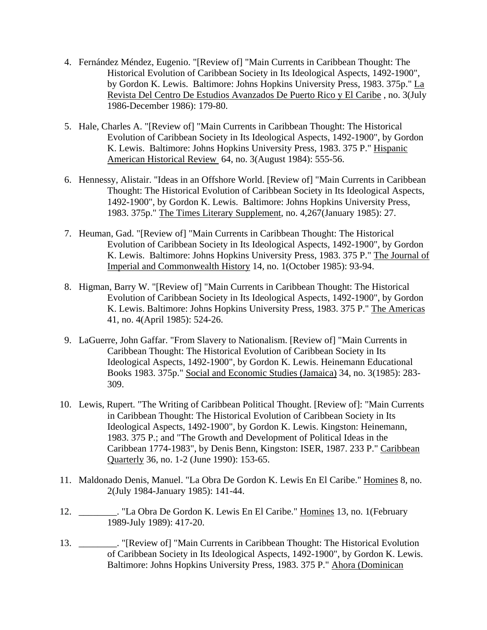- 4. Fernández Méndez, Eugenio. "[Review of] "Main Currents in Caribbean Thought: The Historical Evolution of Caribbean Society in Its Ideological Aspects, 1492-1900", by Gordon K. Lewis. Baltimore: Johns Hopkins University Press, 1983. 375p." La Revista Del Centro De Estudios Avanzados De Puerto Rico y El Caribe , no. 3(July 1986-December 1986): 179-80.
- 5. Hale, Charles A. "[Review of] "Main Currents in Caribbean Thought: The Historical Evolution of Caribbean Society in Its Ideological Aspects, 1492-1900", by Gordon K. Lewis. Baltimore: Johns Hopkins University Press, 1983. 375 P." Hispanic American Historical Review 64, no. 3(August 1984): 555-56.
- 6. Hennessy, Alistair. "Ideas in an Offshore World. [Review of] "Main Currents in Caribbean Thought: The Historical Evolution of Caribbean Society in Its Ideological Aspects, 1492-1900", by Gordon K. Lewis. Baltimore: Johns Hopkins University Press, 1983. 375p." The Times Literary Supplement, no. 4,267(January 1985): 27.
- 7. Heuman, Gad. "[Review of] "Main Currents in Caribbean Thought: The Historical Evolution of Caribbean Society in Its Ideological Aspects, 1492-1900", by Gordon K. Lewis. Baltimore: Johns Hopkins University Press, 1983. 375 P." The Journal of Imperial and Commonwealth History 14, no. 1(October 1985): 93-94.
- 8. Higman, Barry W. "[Review of] "Main Currents in Caribbean Thought: The Historical Evolution of Caribbean Society in Its Ideological Aspects, 1492-1900", by Gordon K. Lewis. Baltimore: Johns Hopkins University Press, 1983. 375 P." The Americas 41, no. 4(April 1985): 524-26.
- 9. LaGuerre, John Gaffar. "From Slavery to Nationalism. [Review of] "Main Currents in Caribbean Thought: The Historical Evolution of Caribbean Society in Its Ideological Aspects, 1492-1900", by Gordon K. Lewis. Heinemann Educational Books 1983. 375p." Social and Economic Studies (Jamaica) 34, no. 3(1985): 283- 309.
- 10. Lewis, Rupert. "The Writing of Caribbean Political Thought. [Review of]: "Main Currents in Caribbean Thought: The Historical Evolution of Caribbean Society in Its Ideological Aspects, 1492-1900", by Gordon K. Lewis. Kingston: Heinemann, 1983. 375 P.; and "The Growth and Development of Political Ideas in the Caribbean 1774-1983", by Denis Benn, Kingston: ISER, 1987. 233 P." Caribbean Quarterly 36, no. 1-2 (June 1990): 153-65.
- 11. Maldonado Denis, Manuel. "La Obra De Gordon K. Lewis En El Caribe." Homines 8, no. 2(July 1984-January 1985): 141-44.
- 12. \_\_\_\_\_\_\_\_. "La Obra De Gordon K. Lewis En El Caribe." Homines 13, no. 1(February 1989-July 1989): 417-20.
- 13. \_\_\_\_\_\_\_\_. "[Review of] "Main Currents in Caribbean Thought: The Historical Evolution of Caribbean Society in Its Ideological Aspects, 1492-1900", by Gordon K. Lewis. Baltimore: Johns Hopkins University Press, 1983. 375 P." Ahora (Dominican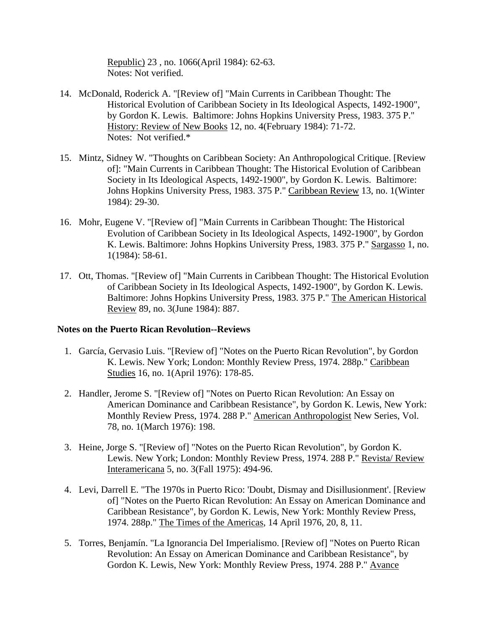Republic) 23 , no. 1066(April 1984): 62-63. Notes: Not verified.

- <span id="page-19-0"></span> 14. McDonald, Roderick A. "[Review of] "Main Currents in Caribbean Thought: The Historical Evolution of Caribbean Society in Its Ideological Aspects, 1492-1900", by Gordon K. Lewis. Baltimore: Johns Hopkins University Press, 1983. 375 P." History: Review of New Books 12, no. 4(February 1984): 71-72. Notes: Not verified.\*
- 15. Mintz, Sidney W. "Thoughts on Caribbean Society: An Anthropological Critique. [Review of]: "Main Currents in Caribbean Thought: The Historical Evolution of Caribbean Society in Its Ideological Aspects, 1492-1900", by Gordon K. Lewis. Baltimore: Johns Hopkins University Press, 1983. 375 P." Caribbean Review 13, no. 1(Winter 1984): 29-30.
- 16. Mohr, Eugene V. "[Review of] "Main Currents in Caribbean Thought: The Historical Evolution of Caribbean Society in Its Ideological Aspects, 1492-1900", by Gordon K. Lewis. Baltimore: Johns Hopkins University Press, 1983. 375 P." Sargasso 1, no. 1(1984): 58-61.
- 17. Ott, Thomas. "[Review of] "Main Currents in Caribbean Thought: The Historical Evolution of Caribbean Society in Its Ideological Aspects, 1492-1900", by Gordon K. Lewis. Baltimore: Johns Hopkins University Press, 1983. 375 P." The American Historical Review 89, no. 3(June 1984): 887.

### **Notes on the Puerto Rican Revolution--Reviews**

- 1. García, Gervasio Luis. "[Review of] "Notes on the Puerto Rican Revolution", by Gordon K. Lewis. New York; London: Monthly Review Press, 1974. 288p." Caribbean Studies 16, no. 1(April 1976): 178-85.
- 2. Handler, Jerome S. "[Review of] "Notes on Puerto Rican Revolution: An Essay on American Dominance and Caribbean Resistance", by Gordon K. Lewis, New York: Monthly Review Press, 1974. 288 P." American Anthropologist New Series, Vol. 78, no. 1(March 1976): 198.
- 3. Heine, Jorge S. "[Review of] "Notes on the Puerto Rican Revolution", by Gordon K. Lewis. New York; London: Monthly Review Press, 1974. 288 P." Revista/ Review Interamericana 5, no. 3(Fall 1975): 494-96.
- 4. Levi, Darrell E. "The 1970s in Puerto Rico: 'Doubt, Dismay and Disillusionment'. [Review of] "Notes on the Puerto Rican Revolution: An Essay on American Dominance and Caribbean Resistance", by Gordon K. Lewis, New York: Monthly Review Press, 1974. 288p." The Times of the Americas, 14 April 1976, 20, 8, 11.
- 5. Torres, Benjamín. "La Ignorancia Del Imperialismo. [Review of] "Notes on Puerto Rican Revolution: An Essay on American Dominance and Caribbean Resistance", by Gordon K. Lewis, New York: Monthly Review Press, 1974. 288 P." Avance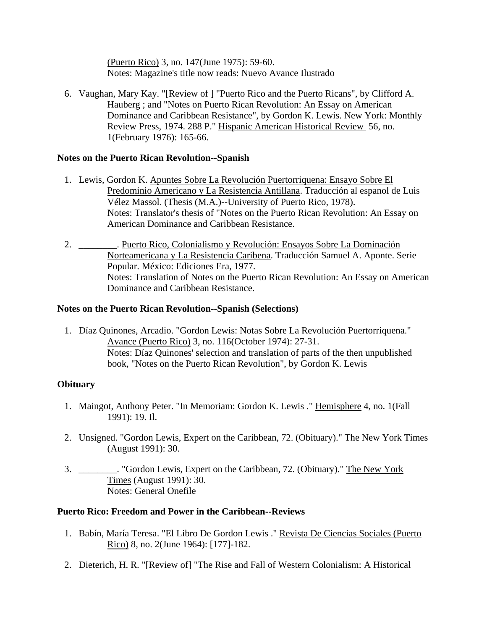(Puerto Rico) 3, no. 147(June 1975): 59-60. Notes: Magazine's title now reads: Nuevo Avance Ilustrado

<span id="page-20-0"></span> 6. Vaughan, Mary Kay. "[Review of ] "Puerto Rico and the Puerto Ricans", by Clifford A. Hauberg ; and "Notes on Puerto Rican Revolution: An Essay on American Dominance and Caribbean Resistance", by Gordon K. Lewis. New York: Monthly Review Press, 1974. 288 P." Hispanic American Historical Review 56, no. 1(February 1976): 165-66.

### **Notes on the Puerto Rican Revolution--Spanish**

- 1. Lewis, Gordon K. Apuntes Sobre La Revolución Puertorriquena: Ensayo Sobre El Predominio Americano y La Resistencia Antillana. Traducción al espanol de Luis Vélez Massol. (Thesis (M.A.)--University of Puerto Rico, 1978). Notes: Translator's thesis of "Notes on the Puerto Rican Revolution: An Essay on American Dominance and Caribbean Resistance.
- 2. \_\_\_\_\_\_\_\_. Puerto Rico, Colonialismo y Revolución: Ensayos Sobre La Dominación Norteamericana y La Resistencia Caribena. Traducción Samuel A. Aponte. Serie Popular. México: Ediciones Era, 1977. Notes: Translation of Notes on the Puerto Rican Revolution: An Essay on American Dominance and Caribbean Resistance.

### **Notes on the Puerto Rican Revolution--Spanish (Selections)**

 1. Díaz Quinones, Arcadio. "Gordon Lewis: Notas Sobre La Revolución Puertorriquena." Avance (Puerto Rico) 3, no. 116(October 1974): 27-31. Notes: Díaz Quinones' selection and translation of parts of the then unpublished book, "Notes on the Puerto Rican Revolution", by Gordon K. Lewis

## **Obituary**

- 1. Maingot, Anthony Peter. "In Memoriam: Gordon K. Lewis ." Hemisphere 4, no. 1(Fall 1991): 19. Il.
- 2. Unsigned. "Gordon Lewis, Expert on the Caribbean, 72. (Obituary)." The New York Times (August 1991): 30.
- 3. \_\_\_\_\_\_\_\_. "Gordon Lewis, Expert on the Caribbean, 72. (Obituary)." The New York Times (August 1991): 30. Notes: General Onefile

## **Puerto Rico: Freedom and Power in the Caribbean--Reviews**

- 1. Babín, María Teresa. "El Libro De Gordon Lewis ." Revista De Ciencias Sociales (Puerto Rico) 8, no. 2(June 1964): [177]-182.
- 2. Dieterich, H. R. "[Review of] "The Rise and Fall of Western Colonialism: A Historical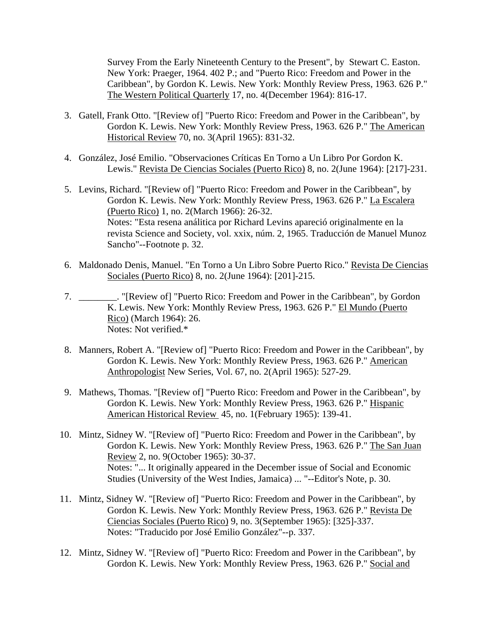Survey From the Early Nineteenth Century to the Present", by Stewart C. Easton. New York: Praeger, 1964. 402 P.; and "Puerto Rico: Freedom and Power in the Caribbean", by Gordon K. Lewis. New York: Monthly Review Press, 1963. 626 P." The Western Political Quarterly 17, no. 4(December 1964): 816-17.

- 3. Gatell, Frank Otto. "[Review of] "Puerto Rico: Freedom and Power in the Caribbean", by Gordon K. Lewis. New York: Monthly Review Press, 1963. 626 P." The American Historical Review 70, no. 3(April 1965): 831-32.
- 4. González, José Emilio. "Observaciones Críticas En Torno a Un Libro Por Gordon K. Lewis." Revista De Ciencias Sociales (Puerto Rico) 8, no. 2(June 1964): [217]-231.
- 5. Levins, Richard. "[Review of] "Puerto Rico: Freedom and Power in the Caribbean", by Gordon K. Lewis. New York: Monthly Review Press, 1963. 626 P." La Escalera (Puerto Rico) 1, no. 2(March 1966): 26-32. Notes: "Esta resena análitica por Richard Levins apareció originalmente en la revista Science and Society, vol. xxix, núm. 2, 1965. Traducción de Manuel Munoz Sancho"--Footnote p. 32.
- 6. Maldonado Denis, Manuel. "En Torno a Un Libro Sobre Puerto Rico." Revista De Ciencias Sociales (Puerto Rico) 8, no. 2(June 1964): [201]-215.
- 7. \_\_\_\_\_\_\_\_. "[Review of] "Puerto Rico: Freedom and Power in the Caribbean", by Gordon K. Lewis. New York: Monthly Review Press, 1963. 626 P." El Mundo (Puerto Rico) (March 1964): 26. Notes: Not verified.\*
- 8. Manners, Robert A. "[Review of] "Puerto Rico: Freedom and Power in the Caribbean", by Gordon K. Lewis. New York: Monthly Review Press, 1963. 626 P." American Anthropologist New Series, Vol. 67, no. 2(April 1965): 527-29.
- 9. Mathews, Thomas. "[Review of] "Puerto Rico: Freedom and Power in the Caribbean", by Gordon K. Lewis. New York: Monthly Review Press, 1963. 626 P." Hispanic American Historical Review 45, no. 1(February 1965): 139-41.
- 10. Mintz, Sidney W. "[Review of] "Puerto Rico: Freedom and Power in the Caribbean", by Gordon K. Lewis. New York: Monthly Review Press, 1963. 626 P." The San Juan Review 2, no. 9(October 1965): 30-37. Notes: "... It originally appeared in the December issue of Social and Economic Studies (University of the West Indies, Jamaica) ... "--Editor's Note, p. 30.
- 11. Mintz, Sidney W. "[Review of] "Puerto Rico: Freedom and Power in the Caribbean", by Gordon K. Lewis. New York: Monthly Review Press, 1963. 626 P." Revista De Ciencias Sociales (Puerto Rico) 9, no. 3(September 1965): [325]-337. Notes: "Traducido por José Emilio González"--p. 337.
- 12. Mintz, Sidney W. "[Review of] "Puerto Rico: Freedom and Power in the Caribbean", by Gordon K. Lewis. New York: Monthly Review Press, 1963. 626 P." Social and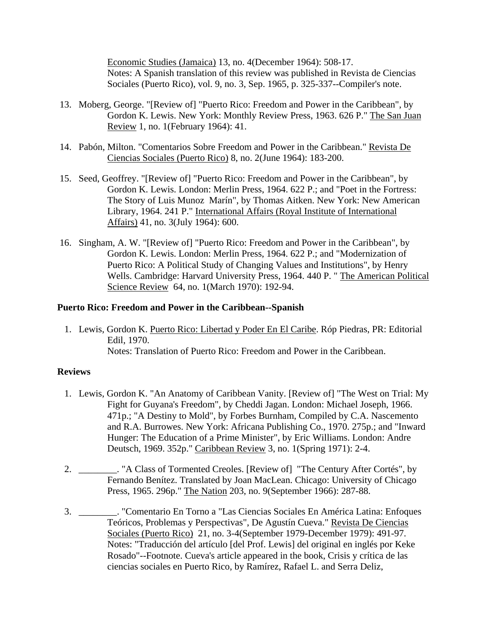Economic Studies (Jamaica) 13, no. 4(December 1964): 508-17. Notes: A Spanish translation of this review was published in Revista de Ciencias Sociales (Puerto Rico), vol. 9, no. 3, Sep. 1965, p. 325-337--Compiler's note.

- <span id="page-22-0"></span> 13. Moberg, George. "[Review of] "Puerto Rico: Freedom and Power in the Caribbean", by Gordon K. Lewis. New York: Monthly Review Press, 1963. 626 P." The San Juan Review 1, no. 1(February 1964): 41.
- 14. Pabón, Milton. "Comentarios Sobre Freedom and Power in the Caribbean." Revista De Ciencias Sociales (Puerto Rico) 8, no. 2(June 1964): 183-200.
- 15. Seed, Geoffrey. "[Review of] "Puerto Rico: Freedom and Power in the Caribbean", by Gordon K. Lewis. London: Merlin Press, 1964. 622 P.; and "Poet in the Fortress: The Story of Luis Munoz Marín", by Thomas Aitken. New York: New American Library, 1964. 241 P." International Affairs (Royal Institute of International Affairs) 41, no. 3(July 1964): 600.
- 16. Singham, A. W. "[Review of] "Puerto Rico: Freedom and Power in the Caribbean", by Gordon K. Lewis. London: Merlin Press, 1964. 622 P.; and "Modernization of Puerto Rico: A Political Study of Changing Values and Institutions", by Henry Wells. Cambridge: Harvard University Press, 1964. 440 P. " The American Political Science Review 64, no. 1(March 1970): 192-94.

### **Puerto Rico: Freedom and Power in the Caribbean--Spanish**

 1. Lewis, Gordon K. Puerto Rico: Libertad y Poder En El Caribe. Róp Piedras, PR: Editorial Edil, 1970. Notes: Translation of Puerto Rico: Freedom and Power in the Caribbean.

### **Reviews**

- 1. Lewis, Gordon K. "An Anatomy of Caribbean Vanity. [Review of] "The West on Trial: My Fight for Guyana's Freedom", by Cheddi Jagan. London: Michael Joseph, 1966. 471p.; "A Destiny to Mold", by Forbes Burnham, Compiled by C.A. Nascemento and R.A. Burrowes. New York: Africana Publishing Co., 1970. 275p.; and "Inward Hunger: The Education of a Prime Minister", by Eric Williams. London: Andre Deutsch, 1969. 352p." Caribbean Review 3, no. 1(Spring 1971): 2-4.
- 2. \_\_\_\_\_\_\_\_. "A Class of Tormented Creoles. [Review of] "The Century After Cortés", by Fernando Benítez. Translated by Joan MacLean. Chicago: University of Chicago Press, 1965. 296p." The Nation 203, no. 9(September 1966): 287-88.
- 3. \_\_\_\_\_\_\_\_. "Comentario En Torno a "Las Ciencias Sociales En América Latina: Enfoques Teóricos, Problemas y Perspectivas", De Agustín Cueva." Revista De Ciencias Sociales (Puerto Rico) 21, no. 3-4(September 1979-December 1979): 491-97. Notes: "Traducción del artículo [del Prof. Lewis] del original en inglés por Keke Rosado"--Footnote. Cueva's article appeared in the book, Crisis y crítica de las ciencias sociales en Puerto Rico, by Ramírez, Rafael L. and Serra Deliz,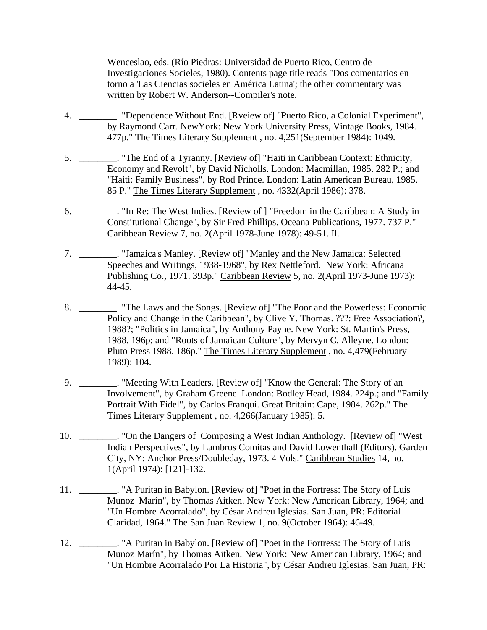Wenceslao, eds. (Río Piedras: Universidad de Puerto Rico, Centro de Investigaciones Socieles, 1980). Contents page title reads "Dos comentarios en torno a 'Las Ciencias socieles en América Latina'; the other commentary was written by Robert W. Anderson--Compiler's note.

- 4. \_\_\_\_\_\_\_\_. "Dependence Without End. [Rveiew of] "Puerto Rico, a Colonial Experiment", by Raymond Carr. NewYork: New York University Press, Vintage Books, 1984. 477p." The Times Literary Supplement , no. 4,251(September 1984): 1049.
- 5. \_\_\_\_\_\_\_\_. "The End of a Tyranny. [Review of] "Haiti in Caribbean Context: Ethnicity, Economy and Revolt", by David Nicholls. London: Macmillan, 1985. 282 P.; and "Haiti: Family Business", by Rod Prince. London: Latin American Bureau, 1985. 85 P." The Times Literary Supplement , no. 4332(April 1986): 378.
- 6. \_\_\_\_\_\_\_\_. "In Re: The West Indies. [Review of ] "Freedom in the Caribbean: A Study in Constitutional Change", by Sir Fred Phillips. Oceana Publications, 1977. 737 P." Caribbean Review 7, no. 2(April 1978-June 1978): 49-51. Il.
- 7. \_\_\_\_\_\_\_\_. "Jamaica's Manley. [Review of] "Manley and the New Jamaica: Selected Speeches and Writings, 1938-1968", by Rex Nettleford. New York: Africana Publishing Co., 1971. 393p." Caribbean Review 5, no. 2(April 1973-June 1973): 44-45.
- 8. \_\_\_\_\_\_\_\_. "The Laws and the Songs. [Review of] "The Poor and the Powerless: Economic Policy and Change in the Caribbean", by Clive Y. Thomas. ???: Free Association?, 1988?; "Politics in Jamaica", by Anthony Payne. New York: St. Martin's Press, 1988. 196p; and "Roots of Jamaican Culture", by Mervyn C. Alleyne. London: Pluto Press 1988. 186p." The Times Literary Supplement , no. 4,479(February 1989): 104.
- 9. \_\_\_\_\_\_\_\_. "Meeting With Leaders. [Review of] "Know the General: The Story of an Involvement", by Graham Greene. London: Bodley Head, 1984. 224p.; and "Family Portrait With Fidel", by Carlos Franqui. Great Britain: Cape, 1984. 262p." The Times Literary Supplement , no. 4,266(January 1985): 5.
- 10. \_\_\_\_\_\_\_\_. "On the Dangers of Composing a West Indian Anthology. [Review of] "West Indian Perspectives", by Lambros Comitas and David Lowenthall (Editors). Garden City, NY: Anchor Press/Doubleday, 1973. 4 Vols." Caribbean Studies 14, no. 1(April 1974): [121]-132.
- 11. \_\_\_\_\_\_\_\_. "A Puritan in Babylon. [Review of] "Poet in the Fortress: The Story of Luis Munoz Marín", by Thomas Aitken. New York: New American Library, 1964; and "Un Hombre Acorralado", by César Andreu Iglesias. San Juan, PR: Editorial Claridad, 1964." The San Juan Review 1, no. 9(October 1964): 46-49.
- 12. \_\_\_\_\_\_\_\_. "A Puritan in Babylon. [Review of] "Poet in the Fortress: The Story of Luis Munoz Marín", by Thomas Aitken. New York: New American Library, 1964; and "Un Hombre Acorralado Por La Historia", by César Andreu Iglesias. San Juan, PR: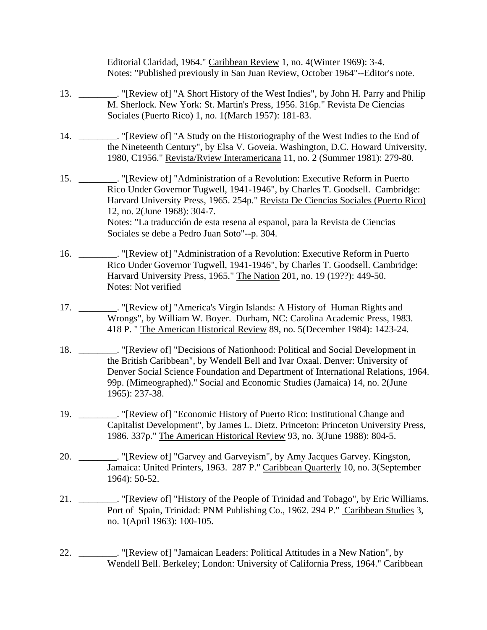Editorial Claridad, 1964." Caribbean Review 1, no. 4(Winter 1969): 3-4. Notes: "Published previously in San Juan Review, October 1964"--Editor's note.

- 13. \_\_\_\_\_\_\_\_. "[Review of] "A Short History of the West Indies", by John H. Parry and Philip M. Sherlock. New York: St. Martin's Press, 1956. 316p." Revista De Ciencias Sociales (Puerto Rico) 1, no. 1(March 1957): 181-83.
- 14. \_\_\_\_\_\_\_\_. "[Review of] "A Study on the Historiography of the West Indies to the End of the Nineteenth Century", by Elsa V. Goveia. Washington, D.C. Howard University, 1980, C1956." Revista/Rview Interamericana 11, no. 2 (Summer 1981): 279-80.
- 15. \_\_\_\_\_\_\_\_. "[Review of] "Administration of a Revolution: Executive Reform in Puerto Rico Under Governor Tugwell, 1941-1946", by Charles T. Goodsell. Cambridge: Harvard University Press, 1965. 254p." Revista De Ciencias Sociales (Puerto Rico) 12, no. 2(June 1968): 304-7. Notes: "La traducción de esta resena al espanol, para la Revista de Ciencias Sociales se debe a Pedro Juan Soto"--p. 304.
- 16. \_\_\_\_\_\_\_\_. "[Review of] "Administration of a Revolution: Executive Reform in Puerto Rico Under Governor Tugwell, 1941-1946", by Charles T. Goodsell. Cambridge: Harvard University Press, 1965." The Nation 201, no. 19 (19??): 449-50. Notes: Not verified
- 17. \_\_\_\_\_\_\_\_. "[Review of] "America's Virgin Islands: A History of Human Rights and Wrongs", by William W. Boyer. Durham, NC: Carolina Academic Press, 1983. 418 P. " The American Historical Review 89, no. 5(December 1984): 1423-24.
- 18. \_\_\_\_\_\_\_\_. "[Review of] "Decisions of Nationhood: Political and Social Development in the British Caribbean", by Wendell Bell and Ivar Oxaal. Denver: University of Denver Social Science Foundation and Department of International Relations, 1964. 99p. (Mimeographed)." Social and Economic Studies (Jamaica) 14, no. 2(June 1965): 237-38.
- 19. \_\_\_\_\_\_\_\_. "[Review of] "Economic History of Puerto Rico: Institutional Change and Capitalist Development", by James L. Dietz. Princeton: Princeton University Press, 1986. 337p." The American Historical Review 93, no. 3(June 1988): 804-5.
- 20. \_\_\_\_\_\_\_\_. "[Review of] "Garvey and Garveyism", by Amy Jacques Garvey. Kingston, Jamaica: United Printers, 1963. 287 P." Caribbean Quarterly 10, no. 3(September 1964): 50-52.
- 21. \_\_\_\_\_\_\_\_. "[Review of] "History of the People of Trinidad and Tobago", by Eric Williams. Port of Spain, Trinidad: PNM Publishing Co., 1962. 294 P." Caribbean Studies 3, no. 1(April 1963): 100-105.
- 22. \_\_\_\_\_\_\_\_. "[Review of] "Jamaican Leaders: Political Attitudes in a New Nation", by Wendell Bell. Berkeley; London: University of California Press, 1964." Caribbean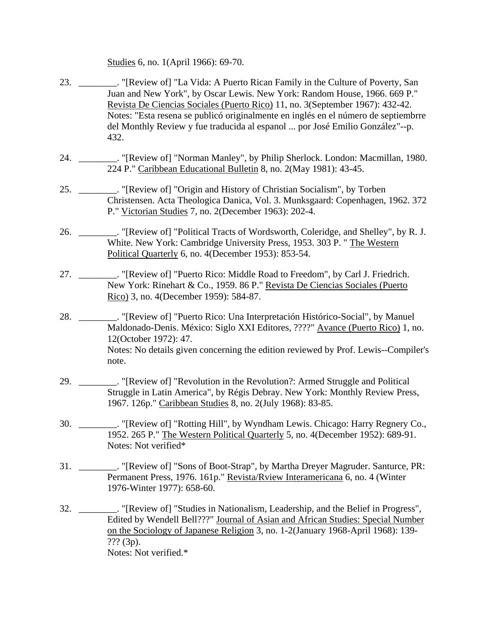Studies 6, no. 1(April 1966): 69-70.

- 23. \_\_\_\_\_\_\_\_. "[Review of] "La Vida: A Puerto Rican Family in the Culture of Poverty, San Juan and New York", by Oscar Lewis. New York: Random House, 1966. 669 P." Revista De Ciencias Sociales (Puerto Rico) 11, no. 3(September 1967): 432-42. Notes: "Esta resena se publicó originalmente en inglés en el número de septiembrre del Monthly Review y fue traducida al espanol ... por José Emilio González"--p. 432.
- 24. \_\_\_\_\_\_\_\_. "[Review of] "Norman Manley", by Philip Sherlock. London: Macmillan, 1980. 224 P." Caribbean Educational Bulletin 8, no. 2(May 1981): 43-45.
- 25. \_\_\_\_\_\_\_\_. "[Review of] "Origin and History of Christian Socialism", by Torben Christensen. Acta Theologica Danica, Vol. 3. Munksgaard: Copenhagen, 1962. 372 P." Victorian Studies 7, no. 2(December 1963): 202-4.
- 26. \_\_\_\_\_\_\_\_. "[Review of] "Political Tracts of Wordsworth, Coleridge, and Shelley", by R. J. White. New York: Cambridge University Press, 1953. 303 P. " The Western Political Quarterly 6, no. 4(December 1953): 853-54.
- 27. \_\_\_\_\_\_\_\_. "[Review of] "Puerto Rico: Middle Road to Freedom", by Carl J. Friedrich. New York: Rinehart & Co., 1959. 86 P." Revista De Ciencias Sociales (Puerto Rico) 3, no. 4(December 1959): 584-87.
- 28. \_\_\_\_\_\_\_\_. "[Review of] "Puerto Rico: Una Interpretación Histórico-Social", by Manuel Maldonado-Denis. México: Siglo XXI Editores, ????" Avance (Puerto Rico) 1, no. 12(October 1972): 47. Notes: No details given concerning the edition reviewed by Prof. Lewis--Compiler's note.
- 29. \_\_\_\_\_\_\_\_. "[Review of] "Revolution in the Revolution?: Armed Struggle and Political Struggle in Latin America", by Régis Debray. New York: Monthly Review Press, 1967. 126p." Caribbean Studies 8, no. 2(July 1968): 83-85.
- 30. \_\_\_\_\_\_\_\_. "[Review of] "Rotting Hill", by Wyndham Lewis. Chicago: Harry Regnery Co., 1952. 265 P." The Western Political Quarterly 5, no. 4(December 1952): 689-91. Notes: Not verified\*
- 31. \_\_\_\_\_\_\_\_. "[Review of] "Sons of Boot-Strap", by Martha Dreyer Magruder. Santurce, PR: Permanent Press, 1976. 161p." Revista/Rview Interamericana 6, no. 4 (Winter 1976-Winter 1977): 658-60.
- 32. \_\_\_\_\_\_\_\_. "[Review of] "Studies in Nationalism, Leadership, and the Belief in Progress", Edited by Wendell Bell???" Journal of Asian and African Studies: Special Number on the Sociology of Japanese Religion 3, no. 1-2(January 1968-April 1968): 139-  $??? (3p).$ Notes: Not verified.\*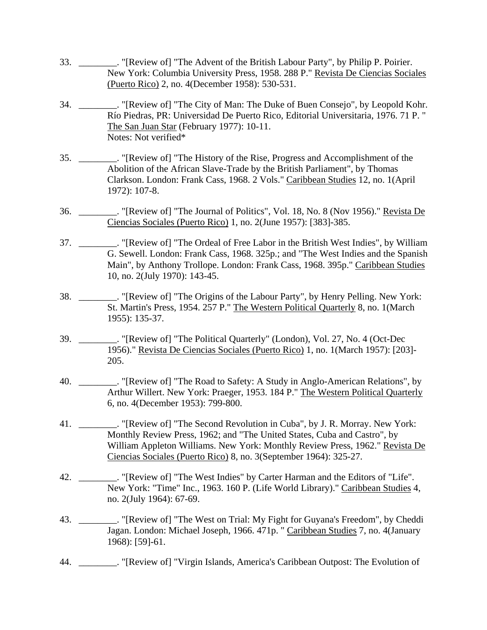- 33. \_\_\_\_\_\_\_\_. "[Review of] "The Advent of the British Labour Party", by Philip P. Poirier. New York: Columbia University Press, 1958. 288 P." Revista De Ciencias Sociales (Puerto Rico) 2, no. 4(December 1958): 530-531.
- 34. \_\_\_\_\_\_\_\_. "[Review of] "The City of Man: The Duke of Buen Consejo", by Leopold Kohr. Río Piedras, PR: Universidad De Puerto Rico, Editorial Universitaria, 1976. 71 P. " The San Juan Star (February 1977): 10-11. Notes: Not verified\*
- 35. \_\_\_\_\_\_\_\_. "[Review of] "The History of the Rise, Progress and Accomplishment of the Abolition of the African Slave-Trade by the British Parliament", by Thomas Clarkson. London: Frank Cass, 1968. 2 Vols." Caribbean Studies 12, no. 1(April 1972): 107-8.
- 36. \_\_\_\_\_\_\_. "[Review of] "The Journal of Politics", Vol. 18, No. 8 (Nov 1956)." Revista De Ciencias Sociales (Puerto Rico) 1, no. 2(June 1957): [383]-385.
- 37. \_\_\_\_\_\_\_\_. "[Review of] "The Ordeal of Free Labor in the British West Indies", by William G. Sewell. London: Frank Cass, 1968. 325p.; and "The West Indies and the Spanish Main", by Anthony Trollope. London: Frank Cass, 1968. 395p." Caribbean Studies 10, no. 2(July 1970): 143-45.
- 38. \_\_\_\_\_\_\_\_. "[Review of] "The Origins of the Labour Party", by Henry Pelling. New York: St. Martin's Press, 1954. 257 P." The Western Political Quarterly 8, no. 1(March 1955): 135-37.
- 39. \_\_\_\_\_\_\_\_. "[Review of] "The Political Quarterly" (London), Vol. 27, No. 4 (Oct-Dec 1956)." Revista De Ciencias Sociales (Puerto Rico) 1, no. 1(March 1957): [203]- 205.
- 40. \_\_\_\_\_\_\_\_. "[Review of] "The Road to Safety: A Study in Anglo-American Relations", by Arthur Willert. New York: Praeger, 1953. 184 P." The Western Political Quarterly 6, no. 4(December 1953): 799-800.
- 41. \_\_\_\_\_\_\_\_. "[Review of] "The Second Revolution in Cuba", by J. R. Morray. New York: Monthly Review Press, 1962; and "The United States, Cuba and Castro", by William Appleton Williams. New York: Monthly Review Press, 1962." Revista De Ciencias Sociales (Puerto Rico) 8, no. 3(September 1964): 325-27.
- 42. \_\_\_\_\_\_\_\_. "[Review of] "The West Indies" by Carter Harman and the Editors of "Life". New York: "Time" Inc., 1963. 160 P. (Life World Library)." Caribbean Studies 4, no. 2(July 1964): 67-69.
- 43. \_\_\_\_\_\_\_\_. "[Review of] "The West on Trial: My Fight for Guyana's Freedom", by Cheddi Jagan. London: Michael Joseph, 1966. 471p. " Caribbean Studies 7, no. 4(January 1968): [59]-61.
- 44. \_\_\_\_\_\_\_\_. "[Review of] "Virgin Islands, America's Caribbean Outpost: The Evolution of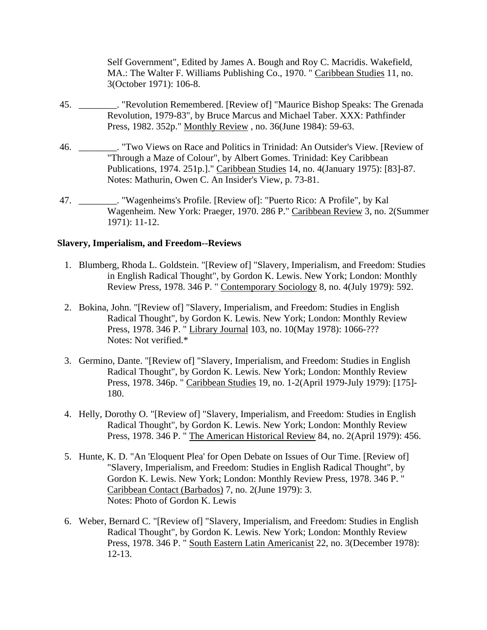Self Government", Edited by James A. Bough and Roy C. Macridis. Wakefield, MA.: The Walter F. Williams Publishing Co., 1970. " Caribbean Studies 11, no. 3(October 1971): 106-8.

- <span id="page-27-0"></span> 45. \_\_\_\_\_\_\_\_. "Revolution Remembered. [Review of] "Maurice Bishop Speaks: The Grenada Revolution, 1979-83", by Bruce Marcus and Michael Taber. XXX: Pathfinder Press, 1982. 352p." Monthly Review , no. 36(June 1984): 59-63.
- 46. \_\_\_\_\_\_\_\_. "Two Views on Race and Politics in Trinidad: An Outsider's View. [Review of "Through a Maze of Colour", by Albert Gomes. Trinidad: Key Caribbean Publications, 1974. 251p.]." Caribbean Studies 14, no. 4(January 1975): [83]-87. Notes: Mathurin, Owen C. An Insider's View, p. 73-81.
- 47. \_\_\_\_\_\_\_\_. "Wagenheims's Profile. [Review of]: "Puerto Rico: A Profile", by Kal Wagenheim. New York: Praeger, 1970. 286 P." Caribbean Review 3, no. 2(Summer 1971): 11-12.

#### **Slavery, Imperialism, and Freedom--Reviews**

- 1. Blumberg, Rhoda L. Goldstein. "[Review of] "Slavery, Imperialism, and Freedom: Studies in English Radical Thought", by Gordon K. Lewis. New York; London: Monthly Review Press, 1978. 346 P. " Contemporary Sociology 8, no. 4(July 1979): 592.
- 2. Bokina, John. "[Review of] "Slavery, Imperialism, and Freedom: Studies in English Radical Thought", by Gordon K. Lewis. New York; London: Monthly Review Press, 1978. 346 P. " Library Journal 103, no. 10(May 1978): 1066-??? Notes: Not verified.\*
- 3. Germino, Dante. "[Review of] "Slavery, Imperialism, and Freedom: Studies in English Radical Thought", by Gordon K. Lewis. New York; London: Monthly Review Press, 1978. 346p. " Caribbean Studies 19, no. 1-2(April 1979-July 1979): [175]- 180.
- 4. Helly, Dorothy O. "[Review of] "Slavery, Imperialism, and Freedom: Studies in English Radical Thought", by Gordon K. Lewis. New York; London: Monthly Review Press, 1978. 346 P. " The American Historical Review 84, no. 2(April 1979): 456.
- 5. Hunte, K. D. "An 'Eloquent Plea' for Open Debate on Issues of Our Time. [Review of] "Slavery, Imperialism, and Freedom: Studies in English Radical Thought", by Gordon K. Lewis. New York; London: Monthly Review Press, 1978. 346 P. " Caribbean Contact (Barbados) 7, no. 2(June 1979): 3. Notes: Photo of Gordon K. Lewis
- 6. Weber, Bernard C. "[Review of] "Slavery, Imperialism, and Freedom: Studies in English Radical Thought", by Gordon K. Lewis. New York; London: Monthly Review Press, 1978. 346 P. " South Eastern Latin Americanist 22, no. 3(December 1978): 12-13.